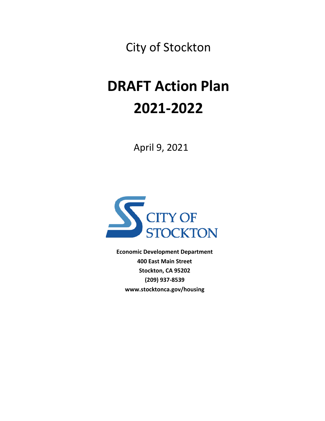City of Stockton

# **DRAFT Action Plan 2021-2022**

April 9, 2021



**Economic Development Department 400 East Main Street Stockton, CA 95202 (209) 937-8539 www.stocktonca.gov/housing**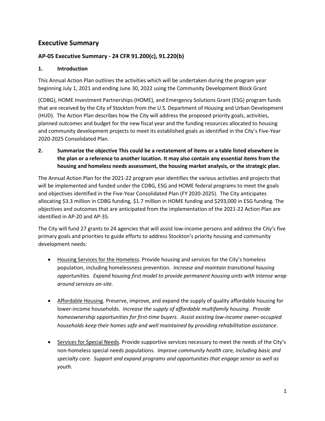### **Executive Summary**

#### **AP‐05 Executive Summary ‐ 24 CFR 91.200(c), 91.220(b)**

#### **1. Introduction**

This Annual Action Plan outlines the activities which will be undertaken during the program year beginning July 1, 2021 and ending June 30, 2022 using the Community Development Block Grant

(CDBG), HOME Investment Partnerships (HOME), and Emergency Solutions Grant (ESG) program funds that are received by the City of Stockton from the U.S. Department of Housing and Urban Development (HUD). The Action Plan describes how the City will address the proposed priority goals, activities, planned outcomes and budget for the new fiscal year and the funding resources allocated to housing and community development projects to meet its established goals as identified in the City's Five‐Year 2020‐2025 Consolidated Plan.

**2. Summarize the objective This could be a restatement of items or a table listed elsewhere in the plan or a reference to another location. It may also contain any essential items from the housing and homeless needs assessment, the housing market analysis, or the strategic plan.**

The Annual Action Plan for the 2021‐22 program year identifies the various activities and projects that will be implemented and funded under the CDBG, ESG and HOME federal programs to meet the goals and objectives identified in the Five-Year Consolidated Plan (FY 2020-2025). The City anticipates allocating \$3.3 million in CDBG funding, \$1.7 million in HOME funding and \$293,000 in ESG funding. The objectives and outcomes that are anticipated from the implementation of the 2021‐22 Action Plan are identified in AP‐20 and AP‐35.

The City will fund 27 grants to 24 agencies that will assist low-income persons and address the City's five primary goals and priorities to guide efforts to address Stockton's priority housing and community development needs:

- Housing Services for the Homeless. Provide housing and services for the City's homeless population, including homelessness prevention. *Increase and maintain transitional housing opportunities. Expand housing first model to provide permanent housing units with intense wrap around services on-site.*
- Affordable Housing. Preserve, improve, and expand the supply of quality affordable housing for lower-income households*. Increase the supply of affordable multifamily housing. Provide homeownership opportunities for first-time buyers. Assist existing low-income owner-occupied households keep their homes safe and well maintained by providing rehabilitation assistance*.
- Services for Special Needs. Provide supportive services necessary to meet the needs of the City's non-homeless special needs populations*. Improve community health care, including basic and specialty care. Support and expand programs and opportunities that engage senior as well as youth.*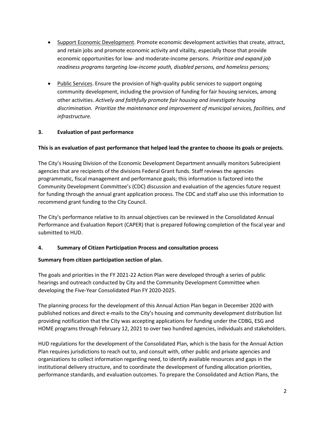- Support Economic Development. Promote economic development activities that create, attract, and retain jobs and promote economic activity and vitality, especially those that provide economic opportunities for low- and moderate-income persons. *Prioritize and expand job readiness programs targeting low-income youth, disabled persons, and homeless persons;*
- Public Services. Ensure the provision of high-quality public services to support ongoing community development, including the provision of funding for fair housing services, among other activities. *Actively and faithfully promote fair housing and investigate housing discrimination. Prioritize the maintenance and improvement of municipal services, facilities, and infrastructure.*

#### **3. Evaluation of past performance**

#### **This is an evaluation of past performance that helped lead the grantee to choose its goals or projects.**

The City's Housing Division of the Economic Development Department annually monitors Subrecipient agencies that are recipients of the divisions Federal Grant funds. Staff reviews the agencies programmatic, fiscal management and performance goals; this information is factored into the Community Development Committee's (CDC) discussion and evaluation of the agencies future request for funding through the annual grant application process. The CDC and staff also use this information to recommend grant funding to the City Council.

The City's performance relative to its annual objectives can be reviewed in the Consolidated Annual Performance and Evaluation Report (CAPER) that is prepared following completion of the fiscal year and submitted to HUD.

#### **4. Summary of Citizen Participation Process and consultation process**

#### **Summary from citizen participation section of plan.**

The goals and priorities in the FY 2021-22 Action Plan were developed through a series of public hearings and outreach conducted by City and the Community Development Committee when developing the Five-Year Consolidated Plan FY 2020-2025.

The planning process for the development of this Annual Action Plan began in December 2020 with published notices and direct e-mails to the City's housing and community development distribution list providing notification that the City was accepting applications for funding under the CDBG, ESG and HOME programs through February 12, 2021 to over two hundred agencies, individuals and stakeholders.

HUD regulations for the development of the Consolidated Plan, which is the basis for the Annual Action Plan requires jurisdictions to reach out to, and consult with, other public and private agencies and organizations to collect information regarding need, to identify available resources and gaps in the institutional delivery structure, and to coordinate the development of funding allocation priorities, performance standards, and evaluation outcomes. To prepare the Consolidated and Action Plans, the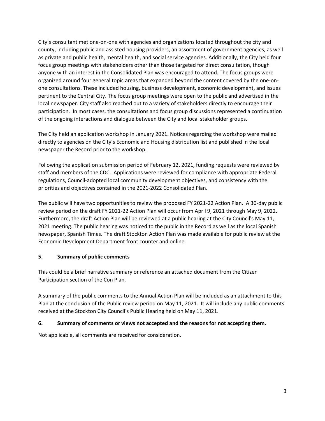City's consultant met one-on-one with agencies and organizations located throughout the city and county, including public and assisted housing providers, an assortment of government agencies, as well as private and public health, mental health, and social service agencies. Additionally, the City held four focus group meetings with stakeholders other than those targeted for direct consultation, though anyone with an interest in the Consolidated Plan was encouraged to attend. The focus groups were organized around four general topic areas that expanded beyond the content covered by the one-onone consultations. These included housing, business development, economic development, and issues pertinent to the Central City. The focus group meetings were open to the public and advertised in the local newspaper. City staff also reached out to a variety of stakeholders directly to encourage their participation. In most cases, the consultations and focus group discussions represented a continuation of the ongoing interactions and dialogue between the City and local stakeholder groups.

The City held an application workshop in January 2021. Notices regarding the workshop were mailed directly to agencies on the City's Economic and Housing distribution list and published in the local newspaper the Record prior to the workshop.

Following the application submission period of February 12, 2021, funding requests were reviewed by staff and members of the CDC. Applications were reviewed for compliance with appropriate Federal regulations, Council‐adopted local community development objectives, and consistency with the priorities and objectives contained in the 2021‐2022 Consolidated Plan.

The public will have two opportunities to review the proposed FY 2021-22 Action Plan. A 30-day public review period on the draft FY 2021-22 Action Plan will occur from April 9, 2021 through May 9, 2022. Furthermore, the draft Action Plan will be reviewed at a public hearing at the City Council's May 11, 2021 meeting. The public hearing was noticed to the public in the Record as well as the local Spanish newspaper, Spanish Times. The draft Stockton Action Plan was made available for public review at the Economic Development Department front counter and online.

#### **5. Summary of public comments**

This could be a brief narrative summary or reference an attached document from the Citizen Participation section of the Con Plan.

A summary of the public comments to the Annual Action Plan will be included as an attachment to this Plan at the conclusion of the Public review period on May 11, 2021. It will include any public comments received at the Stockton City Council's Public Hearing held on May 11, 2021.

#### **6. Summary of comments or views not accepted and the reasons for not accepting them.**

Not applicable, all comments are received for consideration.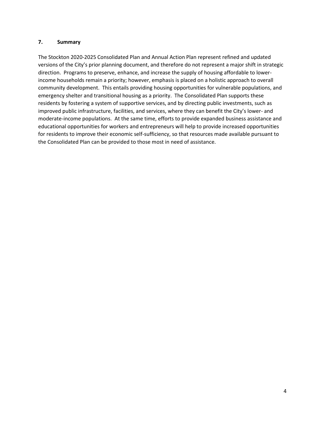#### **7. Summary**

The Stockton 2020-2025 Consolidated Plan and Annual Action Plan represent refined and updated versions of the City's prior planning document, and therefore do not represent a major shift in strategic direction. Programs to preserve, enhance, and increase the supply of housing affordable to lowerincome households remain a priority; however, emphasis is placed on a holistic approach to overall community development. This entails providing housing opportunities for vulnerable populations, and emergency shelter and transitional housing as a priority. The Consolidated Plan supports these residents by fostering a system of supportive services, and by directing public investments, such as improved public infrastructure, facilities, and services, where they can benefit the City's lower- and moderate-income populations. At the same time, efforts to provide expanded business assistance and educational opportunities for workers and entrepreneurs will help to provide increased opportunities for residents to improve their economic self-sufficiency, so that resources made available pursuant to the Consolidated Plan can be provided to those most in need of assistance.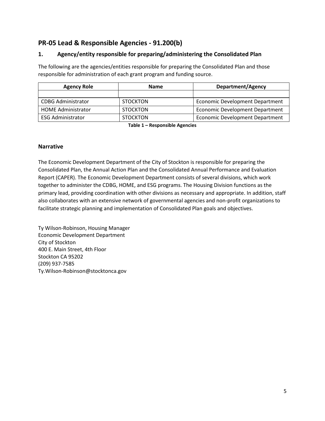### **PR-05 Lead & Responsible Agencies - 91.200(b)**

#### **1. Agency/entity responsible for preparing/administering the Consolidated Plan**

The following are the agencies/entities responsible for preparing the Consolidated Plan and those responsible for administration of each grant program and funding source.

| <b>Agency Role</b>        | <b>Name</b>     | <b>Department/Agency</b>               |
|---------------------------|-----------------|----------------------------------------|
|                           |                 |                                        |
| <b>CDBG Administrator</b> | <b>STOCKTON</b> | <b>Economic Development Department</b> |
| <b>HOME Administrator</b> | <b>STOCKTON</b> | Economic Development Department        |
| <b>ESG Administrator</b>  | <b>STOCKTON</b> | <b>Economic Development Department</b> |

**Table 1 – Responsible Agencies**

#### **Narrative**

The Economic Development Department of the City of Stockton is responsible for preparing the Consolidated Plan, the Annual Action Plan and the Consolidated Annual Performance and Evaluation Report (CAPER). The Economic Development Department consists of several divisions, which work together to administer the CDBG, HOME, and ESG programs. The Housing Division functions as the primary lead, providing coordination with other divisions as necessary and appropriate. In addition, staff also collaborates with an extensive network of governmental agencies and non-profit organizations to facilitate strategic planning and implementation of Consolidated Plan goals and objectives.

Ty Wilson-Robinson, Housing Manager Economic Development Department City of Stockton 400 E. Main Street, 4th Floor Stockton CA 95202 (209) 937-7585 Ty.Wilson-Robinson@stocktonca.gov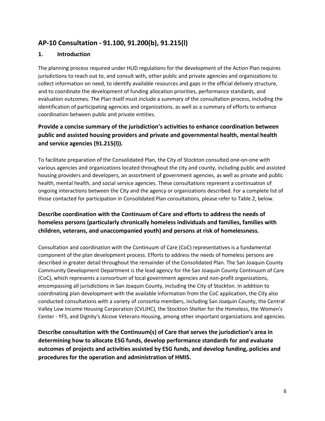### **AP-10 Consultation - 91.100, 91.200(b), 91.215(l)**

#### **1. Introduction**

The planning process required under HUD regulations for the development of the Action Plan requires jurisdictions to reach out to, and consult with, other public and private agencies and organizations to collect information on need, to identify available resources and gaps in the official delivery structure, and to coordinate the development of funding allocation priorities, performance standards, and evaluation outcomes. The Plan itself must include a summary of the consultation process, including the identification of participating agencies and organizations, as well as a summary of efforts to enhance coordination between public and private entities.

### **Provide a concise summary of the jurisdiction's activities to enhance coordination between public and assisted housing providers and private and governmental health, mental health and service agencies (91.215(l)).**

To facilitate preparation of the Consolidated Plan, the City of Stockton consulted one-on-one with various agencies and organizations located throughout the city and county, including public and assisted housing providers and developers, an assortment of government agencies, as well as private and public health, mental health, and social service agencies. These consultations represent a continuation of ongoing interactions between the City and the agency or organizations described. For a complete list of those contacted for participation in Consolidated Plan consultations, please refer to Table 2, below.

### **Describe coordination with the Continuum of Care and efforts to address the needs of homeless persons (particularly chronically homeless individuals and families, families with children, veterans, and unaccompanied youth) and persons at risk of homelessness.**

Consultation and coordination with the Continuum of Care (CoC) representatives is a fundamental component of the plan development process. Efforts to address the needs of homeless persons are described in greater detail throughout the remainder of the Consolidated Plan. The San Joaquin County Community Development Department is the lead agency for the San Joaquin County Continuum of Care (CoC), which represents a consortium of local government agencies and non-profit organizations, encompassing all jurisdictions in San Joaquin County, including the City of Stockton. In addition to coordinating plan development with the available information from the CoC application, the City also conducted consultations with a variety of consortia members, including San Joaquin County, the Central Valley Low Income Housing Corporation (CVLIHC), the Stockton Shelter for the Homeless, the Women's Center - YFS, and Dignity's Alcove Veterans Housing, among other important organizations and agencies.

**Describe consultation with the Continuum(s) of Care that serves the jurisdiction's area in determining how to allocate ESG funds, develop performance standards for and evaluate outcomes of projects and activities assisted by ESG funds, and develop funding, policies and procedures for the operation and administration of HMIS.**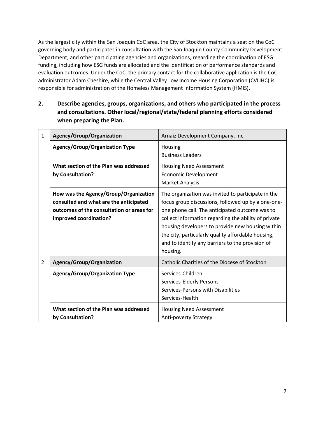As the largest city within the San Joaquin CoC area, the City of Stockton maintains a seat on the CoC governing body and participates in consultation with the San Joaquin County Community Development Department, and other participating agencies and organizations, regarding the coordination of ESG funding, including how ESG funds are allocated and the identification of performance standards and evaluation outcomes. Under the CoC, the primary contact for the collaborative application is the CoC administrator Adam Cheshire, while the Central Valley Low Income Housing Corporation (CVLIHC) is responsible for administration of the Homeless Management Information System (HMIS).

**2. Describe agencies, groups, organizations, and others who participated in the process and consultations. Other local/regional/state/federal planning efforts considered when preparing the Plan.**

| 1              | Agency/Group/Organization                                                                                                                              | Arnaiz Development Company, Inc.                                                                                                                                                                                                                                                                                                                                                             |
|----------------|--------------------------------------------------------------------------------------------------------------------------------------------------------|----------------------------------------------------------------------------------------------------------------------------------------------------------------------------------------------------------------------------------------------------------------------------------------------------------------------------------------------------------------------------------------------|
|                | <b>Agency/Group/Organization Type</b>                                                                                                                  | Housing<br><b>Business Leaders</b>                                                                                                                                                                                                                                                                                                                                                           |
|                | What section of the Plan was addressed<br>by Consultation?                                                                                             | <b>Housing Need Assessment</b><br><b>Economic Development</b><br>Market Analysis                                                                                                                                                                                                                                                                                                             |
|                | How was the Agency/Group/Organization<br>consulted and what are the anticipated<br>outcomes of the consultation or areas for<br>improved coordination? | The organization was invited to participate in the<br>focus group discussions, followed up by a one-one-<br>one phone call. The anticipated outcome was to<br>collect information regarding the ability of private<br>housing developers to provide new housing within<br>the city, particularly quality affordable housing,<br>and to identify any barriers to the provision of<br>housing. |
| $\overline{2}$ | Agency/Group/Organization                                                                                                                              | Catholic Charities of the Diocese of Stockton                                                                                                                                                                                                                                                                                                                                                |
|                | <b>Agency/Group/Organization Type</b>                                                                                                                  | Services-Children<br>Services-Elderly Persons<br>Services-Persons with Disabilities<br>Services-Health                                                                                                                                                                                                                                                                                       |
|                | What section of the Plan was addressed<br>by Consultation?                                                                                             | <b>Housing Need Assessment</b><br><b>Anti-poverty Strategy</b>                                                                                                                                                                                                                                                                                                                               |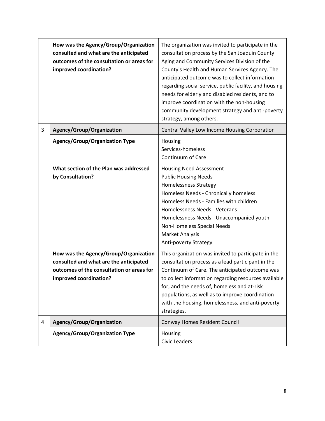|   | How was the Agency/Group/Organization<br>consulted and what are the anticipated<br>outcomes of the consultation or areas for<br>improved coordination? | The organization was invited to participate in the<br>consultation process by the San Joaquin County<br>Aging and Community Services Division of the<br>County's Health and Human Services Agency. The<br>anticipated outcome was to collect information<br>regarding social service, public facility, and housing<br>needs for elderly and disabled residents, and to<br>improve coordination with the non-housing<br>community development strategy and anti-poverty<br>strategy, among others. |
|---|--------------------------------------------------------------------------------------------------------------------------------------------------------|---------------------------------------------------------------------------------------------------------------------------------------------------------------------------------------------------------------------------------------------------------------------------------------------------------------------------------------------------------------------------------------------------------------------------------------------------------------------------------------------------|
| 3 | Agency/Group/Organization                                                                                                                              | Central Valley Low Income Housing Corporation                                                                                                                                                                                                                                                                                                                                                                                                                                                     |
|   | <b>Agency/Group/Organization Type</b>                                                                                                                  | Housing<br>Services-homeless<br>Continuum of Care                                                                                                                                                                                                                                                                                                                                                                                                                                                 |
|   | What section of the Plan was addressed<br>by Consultation?                                                                                             | <b>Housing Need Assessment</b><br><b>Public Housing Needs</b><br><b>Homelessness Strategy</b><br>Homeless Needs - Chronically homeless<br>Homeless Needs - Families with children<br>Homelessness Needs - Veterans<br>Homelessness Needs - Unaccompanied youth<br>Non-Homeless Special Needs<br><b>Market Analysis</b><br>Anti-poverty Strategy                                                                                                                                                   |
|   | How was the Agency/Group/Organization<br>consulted and what are the anticipated<br>outcomes of the consultation or areas for<br>improved coordination? | This organization was invited to participate in the<br>consultation process as a lead participant in the<br>Continuum of Care. The anticipated outcome was<br>to collect information regarding resources available<br>for, and the needs of, homeless and at-risk<br>populations, as well as to improve coordination<br>with the housing, homelessness, and anti-poverty<br>strategies.                                                                                                           |
| 4 | Agency/Group/Organization                                                                                                                              | Conway Homes Resident Council                                                                                                                                                                                                                                                                                                                                                                                                                                                                     |
|   | <b>Agency/Group/Organization Type</b>                                                                                                                  | Housing<br><b>Civic Leaders</b>                                                                                                                                                                                                                                                                                                                                                                                                                                                                   |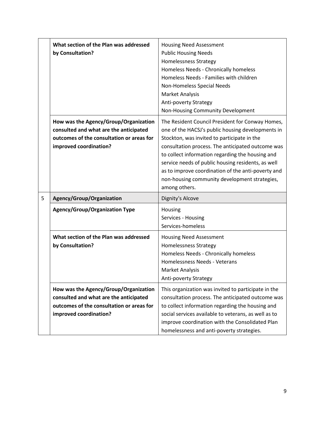|   | What section of the Plan was addressed<br>by Consultation?                                                                                             | <b>Housing Need Assessment</b><br><b>Public Housing Needs</b><br><b>Homelessness Strategy</b><br>Homeless Needs - Chronically homeless<br>Homeless Needs - Families with children<br>Non-Homeless Special Needs<br>Market Analysis<br>Anti-poverty Strategy<br>Non-Housing Community Development                                                                                                                                            |
|---|--------------------------------------------------------------------------------------------------------------------------------------------------------|---------------------------------------------------------------------------------------------------------------------------------------------------------------------------------------------------------------------------------------------------------------------------------------------------------------------------------------------------------------------------------------------------------------------------------------------|
|   | How was the Agency/Group/Organization<br>consulted and what are the anticipated<br>outcomes of the consultation or areas for<br>improved coordination? | The Resident Council President for Conway Homes,<br>one of the HACSJ's public housing developments in<br>Stockton, was invited to participate in the<br>consultation process. The anticipated outcome was<br>to collect information regarding the housing and<br>service needs of public housing residents, as well<br>as to improve coordination of the anti-poverty and<br>non-housing community development strategies,<br>among others. |
| 5 | Agency/Group/Organization                                                                                                                              | Dignity's Alcove                                                                                                                                                                                                                                                                                                                                                                                                                            |
|   | <b>Agency/Group/Organization Type</b>                                                                                                                  | Housing<br>Services - Housing<br>Services-homeless                                                                                                                                                                                                                                                                                                                                                                                          |
|   | What section of the Plan was addressed<br>by Consultation?                                                                                             | <b>Housing Need Assessment</b><br>Homelessness Strategy<br>Homeless Needs - Chronically homeless<br>Homelessness Needs - Veterans<br><b>Market Analysis</b><br><b>Anti-poverty Strategy</b>                                                                                                                                                                                                                                                 |
|   | How was the Agency/Group/Organization<br>consulted and what are the anticipated<br>outcomes of the consultation or areas for<br>improved coordination? | This organization was invited to participate in the<br>consultation process. The anticipated outcome was<br>to collect information regarding the housing and<br>social services available to veterans, as well as to<br>improve coordination with the Consolidated Plan<br>homelessness and anti-poverty strategies.                                                                                                                        |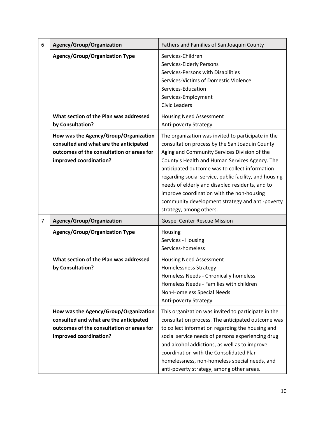| 6              | Agency/Group/Organization                                                                                                                              | Fathers and Families of San Joaquin County                                                                                                                                                                                                                                                                                                                                                                                                                                                       |
|----------------|--------------------------------------------------------------------------------------------------------------------------------------------------------|--------------------------------------------------------------------------------------------------------------------------------------------------------------------------------------------------------------------------------------------------------------------------------------------------------------------------------------------------------------------------------------------------------------------------------------------------------------------------------------------------|
|                | <b>Agency/Group/Organization Type</b>                                                                                                                  | Services-Children<br>Services-Elderly Persons<br>Services-Persons with Disabilities<br>Services-Victims of Domestic Violence<br>Services-Education<br>Services-Employment<br><b>Civic Leaders</b>                                                                                                                                                                                                                                                                                                |
|                | What section of the Plan was addressed<br>by Consultation?                                                                                             | <b>Housing Need Assessment</b><br>Anti-poverty Strategy                                                                                                                                                                                                                                                                                                                                                                                                                                          |
|                | How was the Agency/Group/Organization<br>consulted and what are the anticipated<br>outcomes of the consultation or areas for<br>improved coordination? | The organization was invited to participate in the<br>consultation process by the San Joaquin County<br>Aging and Community Services Division of the<br>County's Health and Human Services Agency. The<br>anticipated outcome was to collect information<br>regarding social service, public facility, and housing<br>needs of elderly and disabled residents, and to<br>improve coordination with the non-housing<br>community development strategy and anti-poverty<br>strategy, among others. |
| $\overline{7}$ | Agency/Group/Organization                                                                                                                              | <b>Gospel Center Rescue Mission</b>                                                                                                                                                                                                                                                                                                                                                                                                                                                              |
|                | <b>Agency/Group/Organization Type</b>                                                                                                                  | Housing<br>Services - Housing<br>Services-homeless                                                                                                                                                                                                                                                                                                                                                                                                                                               |
|                | What section of the Plan was addressed<br>by Consultation?                                                                                             | <b>Housing Need Assessment</b><br><b>Homelessness Strategy</b><br>Homeless Needs - Chronically homeless<br>Homeless Needs - Families with children<br>Non-Homeless Special Needs<br>Anti-poverty Strategy                                                                                                                                                                                                                                                                                        |
|                | How was the Agency/Group/Organization<br>consulted and what are the anticipated<br>outcomes of the consultation or areas for<br>improved coordination? | This organization was invited to participate in the<br>consultation process. The anticipated outcome was<br>to collect information regarding the housing and<br>social service needs of persons experiencing drug<br>and alcohol addictions, as well as to improve<br>coordination with the Consolidated Plan<br>homelessness, non-homeless special needs, and<br>anti-poverty strategy, among other areas.                                                                                      |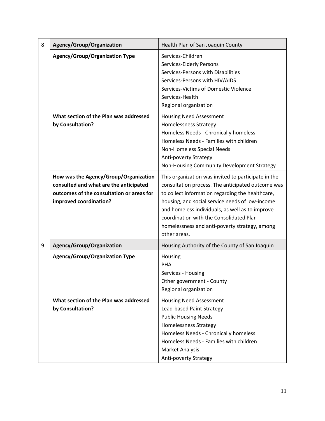| 8 | Agency/Group/Organization                                                                                                                              | Health Plan of San Joaquin County                                                                                                                                                                                                                                                                                                                                              |
|---|--------------------------------------------------------------------------------------------------------------------------------------------------------|--------------------------------------------------------------------------------------------------------------------------------------------------------------------------------------------------------------------------------------------------------------------------------------------------------------------------------------------------------------------------------|
|   | <b>Agency/Group/Organization Type</b>                                                                                                                  | Services-Children<br>Services-Elderly Persons<br>Services-Persons with Disabilities<br>Services-Persons with HIV/AIDS<br>Services-Victims of Domestic Violence<br>Services-Health<br>Regional organization                                                                                                                                                                     |
|   | What section of the Plan was addressed<br>by Consultation?                                                                                             | <b>Housing Need Assessment</b><br><b>Homelessness Strategy</b><br>Homeless Needs - Chronically homeless<br>Homeless Needs - Families with children<br>Non-Homeless Special Needs<br>Anti-poverty Strategy<br>Non-Housing Community Development Strategy                                                                                                                        |
|   | How was the Agency/Group/Organization<br>consulted and what are the anticipated<br>outcomes of the consultation or areas for<br>improved coordination? | This organization was invited to participate in the<br>consultation process. The anticipated outcome was<br>to collect information regarding the healthcare,<br>housing, and social service needs of low-income<br>and homeless individuals, as well as to improve<br>coordination with the Consolidated Plan<br>homelessness and anti-poverty strategy, among<br>other areas. |
| 9 | Agency/Group/Organization                                                                                                                              | Housing Authority of the County of San Joaquin                                                                                                                                                                                                                                                                                                                                 |
|   | <b>Agency/Group/Organization Type</b>                                                                                                                  | Housing<br>PHA<br>Services - Housing<br>Other government - County<br>Regional organization                                                                                                                                                                                                                                                                                     |
|   | What section of the Plan was addressed<br>by Consultation?                                                                                             | <b>Housing Need Assessment</b><br>Lead-based Paint Strategy<br><b>Public Housing Needs</b><br><b>Homelessness Strategy</b><br>Homeless Needs - Chronically homeless<br>Homeless Needs - Families with children<br>Market Analysis<br>Anti-poverty Strategy                                                                                                                     |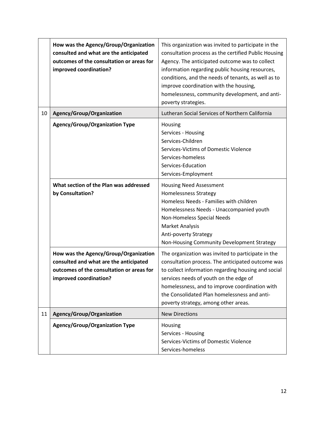|    | How was the Agency/Group/Organization<br>consulted and what are the anticipated<br>outcomes of the consultation or areas for<br>improved coordination? | This organization was invited to participate in the<br>consultation process as the certified Public Housing<br>Agency. The anticipated outcome was to collect<br>information regarding public housing resources,<br>conditions, and the needs of tenants, as well as to<br>improve coordination with the housing,<br>homelessness, community development, and anti-<br>poverty strategies. |
|----|--------------------------------------------------------------------------------------------------------------------------------------------------------|--------------------------------------------------------------------------------------------------------------------------------------------------------------------------------------------------------------------------------------------------------------------------------------------------------------------------------------------------------------------------------------------|
| 10 | Agency/Group/Organization                                                                                                                              | Lutheran Social Services of Northern California                                                                                                                                                                                                                                                                                                                                            |
|    | <b>Agency/Group/Organization Type</b>                                                                                                                  | Housing<br>Services - Housing<br>Services-Children<br>Services-Victims of Domestic Violence<br>Services-homeless<br>Services-Education<br>Services-Employment                                                                                                                                                                                                                              |
|    | What section of the Plan was addressed<br>by Consultation?                                                                                             | <b>Housing Need Assessment</b><br><b>Homelessness Strategy</b><br>Homeless Needs - Families with children<br>Homelessness Needs - Unaccompanied youth<br>Non-Homeless Special Needs<br><b>Market Analysis</b><br>Anti-poverty Strategy<br>Non-Housing Community Development Strategy                                                                                                       |
|    | How was the Agency/Group/Organization<br>consulted and what are the anticipated<br>outcomes of the consultation or areas for<br>improved coordination? | The organization was invited to participate in the<br>consultation process. The anticipated outcome was<br>to collect information regarding housing and social<br>services needs of youth on the edge of<br>homelessness, and to improve coordination with<br>the Consolidated Plan homelessness and anti-<br>poverty strategy, among other areas.                                         |
| 11 | Agency/Group/Organization                                                                                                                              | <b>New Directions</b>                                                                                                                                                                                                                                                                                                                                                                      |
|    | <b>Agency/Group/Organization Type</b>                                                                                                                  | Housing<br>Services - Housing<br>Services-Victims of Domestic Violence<br>Services-homeless                                                                                                                                                                                                                                                                                                |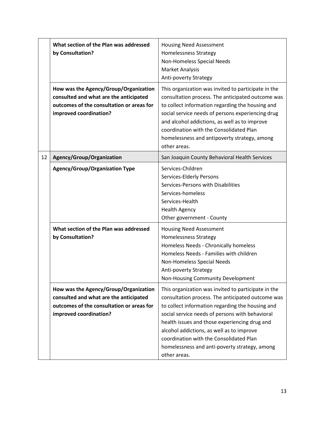|    | What section of the Plan was addressed<br>by Consultation?                                                                                             | <b>Housing Need Assessment</b><br><b>Homelessness Strategy</b><br>Non-Homeless Special Needs<br><b>Market Analysis</b><br>Anti-poverty Strategy                                                                                                                                                                                                                                                                           |
|----|--------------------------------------------------------------------------------------------------------------------------------------------------------|---------------------------------------------------------------------------------------------------------------------------------------------------------------------------------------------------------------------------------------------------------------------------------------------------------------------------------------------------------------------------------------------------------------------------|
|    | How was the Agency/Group/Organization<br>consulted and what are the anticipated<br>outcomes of the consultation or areas for<br>improved coordination? | This organization was invited to participate in the<br>consultation process. The anticipated outcome was<br>to collect information regarding the housing and<br>social service needs of persons experiencing drug<br>and alcohol addictions, as well as to improve<br>coordination with the Consolidated Plan<br>homelessness and antipoverty strategy, among<br>other areas.                                             |
| 12 | Agency/Group/Organization                                                                                                                              | San Joaquin County Behavioral Health Services                                                                                                                                                                                                                                                                                                                                                                             |
|    | <b>Agency/Group/Organization Type</b>                                                                                                                  | Services-Children<br>Services-Elderly Persons<br>Services-Persons with Disabilities<br>Services-homeless<br>Services-Health<br><b>Health Agency</b><br>Other government - County                                                                                                                                                                                                                                          |
|    | What section of the Plan was addressed<br>by Consultation?                                                                                             | <b>Housing Need Assessment</b><br>Homelessness Strategy<br>Homeless Needs - Chronically homeless<br>Homeless Needs - Families with children<br>Non-Homeless Special Needs<br>Anti-poverty Strategy<br>Non-Housing Community Development                                                                                                                                                                                   |
|    | How was the Agency/Group/Organization<br>consulted and what are the anticipated<br>outcomes of the consultation or areas for<br>improved coordination? | This organization was invited to participate in the<br>consultation process. The anticipated outcome was<br>to collect information regarding the housing and<br>social service needs of persons with behavioral<br>health issues and those experiencing drug and<br>alcohol addictions, as well as to improve<br>coordination with the Consolidated Plan<br>homelessness and anti-poverty strategy, among<br>other areas. |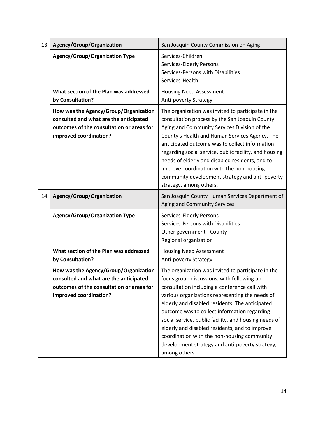| 13 | Agency/Group/Organization                                                                                                                              | San Joaquin County Commission on Aging                                                                                                                                                                                                                                                                                                                                                                                                                                                                                                |
|----|--------------------------------------------------------------------------------------------------------------------------------------------------------|---------------------------------------------------------------------------------------------------------------------------------------------------------------------------------------------------------------------------------------------------------------------------------------------------------------------------------------------------------------------------------------------------------------------------------------------------------------------------------------------------------------------------------------|
|    | <b>Agency/Group/Organization Type</b>                                                                                                                  | Services-Children<br>Services-Elderly Persons<br>Services-Persons with Disabilities<br>Services-Health                                                                                                                                                                                                                                                                                                                                                                                                                                |
|    | What section of the Plan was addressed<br>by Consultation?                                                                                             | <b>Housing Need Assessment</b><br>Anti-poverty Strategy                                                                                                                                                                                                                                                                                                                                                                                                                                                                               |
|    | How was the Agency/Group/Organization<br>consulted and what are the anticipated<br>outcomes of the consultation or areas for<br>improved coordination? | The organization was invited to participate in the<br>consultation process by the San Joaquin County<br>Aging and Community Services Division of the<br>County's Health and Human Services Agency. The<br>anticipated outcome was to collect information<br>regarding social service, public facility, and housing<br>needs of elderly and disabled residents, and to<br>improve coordination with the non-housing<br>community development strategy and anti-poverty<br>strategy, among others.                                      |
| 14 | Agency/Group/Organization                                                                                                                              | San Joaquin County Human Services Department of<br>Aging and Community Services                                                                                                                                                                                                                                                                                                                                                                                                                                                       |
|    | <b>Agency/Group/Organization Type</b>                                                                                                                  | Services-Elderly Persons<br>Services-Persons with Disabilities<br>Other government - County<br>Regional organization                                                                                                                                                                                                                                                                                                                                                                                                                  |
|    | What section of the Plan was addressed<br>by Consultation?                                                                                             | <b>Housing Need Assessment</b><br>Anti-poverty Strategy                                                                                                                                                                                                                                                                                                                                                                                                                                                                               |
|    | How was the Agency/Group/Organization<br>consulted and what are the anticipated<br>outcomes of the consultation or areas for<br>improved coordination? | The organization was invited to participate in the<br>focus group discussions, with following up<br>consultation including a conference call with<br>various organizations representing the needs of<br>elderly and disabled residents. The anticipated<br>outcome was to collect information regarding<br>social service, public facility, and housing needs of<br>elderly and disabled residents, and to improve<br>coordination with the non-housing community<br>development strategy and anti-poverty strategy,<br>among others. |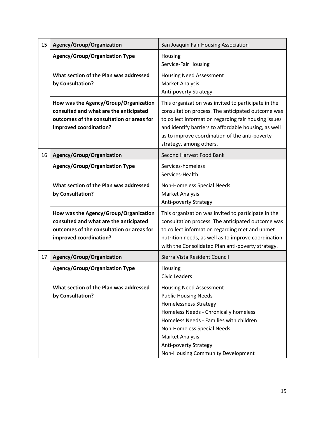| 15 | Agency/Group/Organization                                                                                                                              | San Joaquin Fair Housing Association                                                                                                                                                                                                                                                                           |
|----|--------------------------------------------------------------------------------------------------------------------------------------------------------|----------------------------------------------------------------------------------------------------------------------------------------------------------------------------------------------------------------------------------------------------------------------------------------------------------------|
|    | <b>Agency/Group/Organization Type</b>                                                                                                                  | Housing<br>Service-Fair Housing                                                                                                                                                                                                                                                                                |
|    | What section of the Plan was addressed<br>by Consultation?                                                                                             | <b>Housing Need Assessment</b><br><b>Market Analysis</b><br>Anti-poverty Strategy                                                                                                                                                                                                                              |
|    | How was the Agency/Group/Organization<br>consulted and what are the anticipated<br>outcomes of the consultation or areas for<br>improved coordination? | This organization was invited to participate in the<br>consultation process. The anticipated outcome was<br>to collect information regarding fair housing issues<br>and identify barriers to affordable housing, as well<br>as to improve coordination of the anti-poverty<br>strategy, among others.          |
| 16 | Agency/Group/Organization                                                                                                                              | Second Harvest Food Bank                                                                                                                                                                                                                                                                                       |
|    | Agency/Group/Organization Type                                                                                                                         | Services-homeless<br>Services-Health                                                                                                                                                                                                                                                                           |
|    | What section of the Plan was addressed<br>by Consultation?                                                                                             | Non-Homeless Special Needs<br><b>Market Analysis</b><br>Anti-poverty Strategy                                                                                                                                                                                                                                  |
|    | How was the Agency/Group/Organization<br>consulted and what are the anticipated<br>outcomes of the consultation or areas for<br>improved coordination? | This organization was invited to participate in the<br>consultation process. The anticipated outcome was<br>to collect information regarding met and unmet<br>nutrition needs, as well as to improve coordination<br>with the Consolidated Plan anti-poverty strategy.                                         |
| 17 | Agency/Group/Organization                                                                                                                              | Sierra Vista Resident Council                                                                                                                                                                                                                                                                                  |
|    | <b>Agency/Group/Organization Type</b>                                                                                                                  | Housing<br><b>Civic Leaders</b>                                                                                                                                                                                                                                                                                |
|    | What section of the Plan was addressed<br>by Consultation?                                                                                             | <b>Housing Need Assessment</b><br><b>Public Housing Needs</b><br><b>Homelessness Strategy</b><br>Homeless Needs - Chronically homeless<br>Homeless Needs - Families with children<br>Non-Homeless Special Needs<br><b>Market Analysis</b><br><b>Anti-poverty Strategy</b><br>Non-Housing Community Development |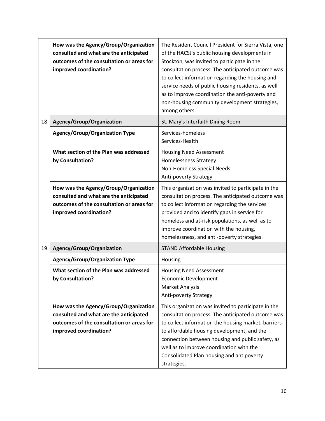|    | How was the Agency/Group/Organization<br>consulted and what are the anticipated<br>outcomes of the consultation or areas for<br>improved coordination? | The Resident Council President for Sierra Vista, one<br>of the HACSJ's public housing developments in<br>Stockton, was invited to participate in the<br>consultation process. The anticipated outcome was<br>to collect information regarding the housing and<br>service needs of public housing residents, as well<br>as to improve coordination the anti-poverty and<br>non-housing community development strategies,<br>among others. |
|----|--------------------------------------------------------------------------------------------------------------------------------------------------------|------------------------------------------------------------------------------------------------------------------------------------------------------------------------------------------------------------------------------------------------------------------------------------------------------------------------------------------------------------------------------------------------------------------------------------------|
| 18 | Agency/Group/Organization                                                                                                                              | St. Mary's Interfaith Dining Room                                                                                                                                                                                                                                                                                                                                                                                                        |
|    | <b>Agency/Group/Organization Type</b>                                                                                                                  | Services-homeless<br>Services-Health                                                                                                                                                                                                                                                                                                                                                                                                     |
|    | What section of the Plan was addressed<br>by Consultation?                                                                                             | <b>Housing Need Assessment</b><br>Homelessness Strategy<br>Non-Homeless Special Needs<br><b>Anti-poverty Strategy</b>                                                                                                                                                                                                                                                                                                                    |
|    | How was the Agency/Group/Organization<br>consulted and what are the anticipated<br>outcomes of the consultation or areas for<br>improved coordination? | This organization was invited to participate in the<br>consultation process. The anticipated outcome was<br>to collect information regarding the services<br>provided and to identify gaps in service for<br>homeless and at-risk populations, as well as to<br>improve coordination with the housing,<br>homelessness, and anti-poverty strategies.                                                                                     |
| 19 | Agency/Group/Organization                                                                                                                              | <b>STAND Affordable Housing</b>                                                                                                                                                                                                                                                                                                                                                                                                          |
|    | <b>Agency/Group/Organization Type</b>                                                                                                                  | Housing                                                                                                                                                                                                                                                                                                                                                                                                                                  |
|    | What section of the Plan was addressed<br>by Consultation?                                                                                             | <b>Housing Need Assessment</b><br><b>Economic Development</b><br><b>Market Analysis</b><br>Anti-poverty Strategy                                                                                                                                                                                                                                                                                                                         |
|    | How was the Agency/Group/Organization<br>consulted and what are the anticipated<br>outcomes of the consultation or areas for<br>improved coordination? | This organization was invited to participate in the<br>consultation process. The anticipated outcome was<br>to collect information the housing market, barriers<br>to affordable housing development, and the<br>connection between housing and public safety, as<br>well as to improve coordination with the<br>Consolidated Plan housing and antipoverty<br>strategies.                                                                |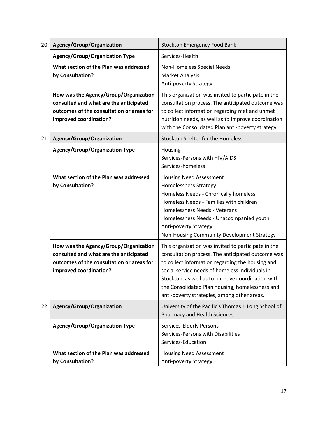| 20 | Agency/Group/Organization                                                                                                                              | <b>Stockton Emergency Food Bank</b>                                                                                                                                                                                                                                                                                                                                    |
|----|--------------------------------------------------------------------------------------------------------------------------------------------------------|------------------------------------------------------------------------------------------------------------------------------------------------------------------------------------------------------------------------------------------------------------------------------------------------------------------------------------------------------------------------|
|    | <b>Agency/Group/Organization Type</b>                                                                                                                  | Services-Health                                                                                                                                                                                                                                                                                                                                                        |
|    | What section of the Plan was addressed<br>by Consultation?                                                                                             | Non-Homeless Special Needs<br><b>Market Analysis</b><br>Anti-poverty Strategy                                                                                                                                                                                                                                                                                          |
|    | How was the Agency/Group/Organization<br>consulted and what are the anticipated<br>outcomes of the consultation or areas for<br>improved coordination? | This organization was invited to participate in the<br>consultation process. The anticipated outcome was<br>to collect information regarding met and unmet<br>nutrition needs, as well as to improve coordination<br>with the Consolidated Plan anti-poverty strategy.                                                                                                 |
| 21 | Agency/Group/Organization                                                                                                                              | Stockton Shelter for the Homeless                                                                                                                                                                                                                                                                                                                                      |
|    | <b>Agency/Group/Organization Type</b>                                                                                                                  | Housing<br>Services-Persons with HIV/AIDS<br>Services-homeless                                                                                                                                                                                                                                                                                                         |
|    | What section of the Plan was addressed<br>by Consultation?                                                                                             | <b>Housing Need Assessment</b><br>Homelessness Strategy<br>Homeless Needs - Chronically homeless<br>Homeless Needs - Families with children<br>Homelessness Needs - Veterans<br>Homelessness Needs - Unaccompanied youth<br>Anti-poverty Strategy<br>Non-Housing Community Development Strategy                                                                        |
|    | How was the Agency/Group/Organization<br>consulted and what are the anticipated<br>outcomes of the consultation or areas for<br>improved coordination? | This organization was invited to participate in the<br>consultation process. The anticipated outcome was<br>to collect information regarding the housing and<br>social service needs of homeless individuals in<br>Stockton, as well as to improve coordination with<br>the Consolidated Plan housing, homelessness and<br>anti-poverty strategies, among other areas. |
| 22 | Agency/Group/Organization                                                                                                                              | University of the Pacific's Thomas J. Long School of<br>Pharmacy and Health Sciences                                                                                                                                                                                                                                                                                   |
|    | <b>Agency/Group/Organization Type</b>                                                                                                                  | Services-Elderly Persons<br>Services-Persons with Disabilities<br>Services-Education                                                                                                                                                                                                                                                                                   |
|    | What section of the Plan was addressed<br>by Consultation?                                                                                             | <b>Housing Need Assessment</b><br>Anti-poverty Strategy                                                                                                                                                                                                                                                                                                                |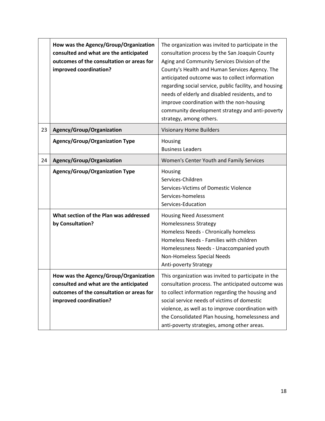|    | How was the Agency/Group/Organization<br>consulted and what are the anticipated<br>outcomes of the consultation or areas for<br>improved coordination? | The organization was invited to participate in the<br>consultation process by the San Joaquin County<br>Aging and Community Services Division of the<br>County's Health and Human Services Agency. The<br>anticipated outcome was to collect information<br>regarding social service, public facility, and housing<br>needs of elderly and disabled residents, and to<br>improve coordination with the non-housing<br>community development strategy and anti-poverty<br>strategy, among others. |
|----|--------------------------------------------------------------------------------------------------------------------------------------------------------|--------------------------------------------------------------------------------------------------------------------------------------------------------------------------------------------------------------------------------------------------------------------------------------------------------------------------------------------------------------------------------------------------------------------------------------------------------------------------------------------------|
| 23 | Agency/Group/Organization                                                                                                                              | <b>Visionary Home Builders</b>                                                                                                                                                                                                                                                                                                                                                                                                                                                                   |
|    | <b>Agency/Group/Organization Type</b>                                                                                                                  | Housing<br><b>Business Leaders</b>                                                                                                                                                                                                                                                                                                                                                                                                                                                               |
| 24 | Agency/Group/Organization                                                                                                                              | Women's Center Youth and Family Services                                                                                                                                                                                                                                                                                                                                                                                                                                                         |
|    | <b>Agency/Group/Organization Type</b>                                                                                                                  | Housing<br>Services-Children<br>Services-Victims of Domestic Violence<br>Services-homeless<br>Services-Education                                                                                                                                                                                                                                                                                                                                                                                 |
|    | What section of the Plan was addressed<br>by Consultation?                                                                                             | <b>Housing Need Assessment</b><br><b>Homelessness Strategy</b><br>Homeless Needs - Chronically homeless<br>Homeless Needs - Families with children<br>Homelessness Needs - Unaccompanied youth<br>Non-Homeless Special Needs<br><b>Anti-poverty Strategy</b>                                                                                                                                                                                                                                     |
|    | How was the Agency/Group/Organization<br>consulted and what are the anticipated<br>outcomes of the consultation or areas for<br>improved coordination? | This organization was invited to participate in the<br>consultation process. The anticipated outcome was<br>to collect information regarding the housing and<br>social service needs of victims of domestic<br>violence, as well as to improve coordination with<br>the Consolidated Plan housing, homelessness and<br>anti-poverty strategies, among other areas.                                                                                                                               |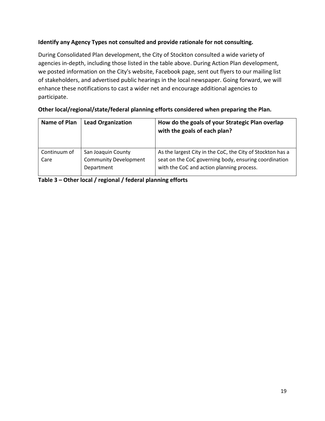#### **Identify any Agency Types not consulted and provide rationale for not consulting.**

During Consolidated Plan development, the City of Stockton consulted a wide variety of agencies in‐depth, including those listed in the table above. During Action Plan development, we posted information on the City's website, Facebook page, sent out flyers to our mailing list of stakeholders, and advertised public hearings in the local newspaper. Going forward, we will enhance these notifications to cast a wider net and encourage additional agencies to participate.

| Other local/regional/state/federal planning efforts considered when preparing the Plan. |  |
|-----------------------------------------------------------------------------------------|--|
|                                                                                         |  |

| Name of Plan | <b>Lead Organization</b>     | How do the goals of your Strategic Plan overlap<br>with the goals of each plan? |
|--------------|------------------------------|---------------------------------------------------------------------------------|
| Continuum of | San Joaquin County           | As the largest City in the CoC, the City of Stockton has a                      |
| Care         | <b>Community Development</b> | seat on the CoC governing body, ensuring coordination                           |
|              | Department                   | with the CoC and action planning process.                                       |

**Table 3 – Other local / regional / federal planning efforts**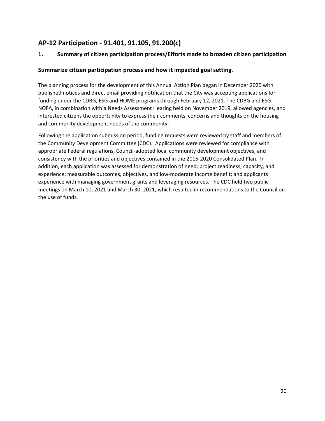### **AP-12 Participation - 91.401, 91.105, 91.200(c)**

#### **1. Summary of citizen participation process/Efforts made to broaden citizen participation**

#### **Summarize citizen participation process and how it impacted goal setting.**

The planning process for the development of this Annual Action Plan began in December 2020 with published notices and direct email providing notification that the City was accepting applications for funding under the CDBG, ESG and HOME programs through February 12, 2021. The CDBG and ESG NOFA, in combination with a Needs Assessment Hearing held on November 2019, allowed agencies, and interested citizens the opportunity to express their comments, concerns and thoughts on the housing and community development needs of the community.

Following the application submission period, funding requests were reviewed by staff and members of the Community Development Committee (CDC). Applications were reviewed for compliance with appropriate Federal regulations, Council‐adopted local community development objectives, and consistency with the priorities and objectives contained in the 2015‐2020 Consolidated Plan. In addition, each application was assessed for demonstration of need; project readiness, capacity, and experience; measurable outcomes, objectives, and low-moderate income benefit; and applicants experience with managing government grants and leveraging resources. The CDC held two public meetings on March 10, 2021 and March 30, 2021, which resulted in recommendations to the Council on the use of funds.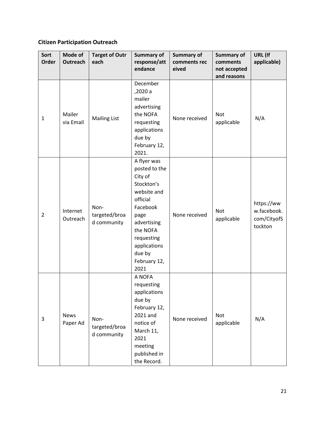### **Citizen Participation Outreach**

| Sort<br>Order  | Mode of<br>Outreach     | <b>Target of Outr</b><br>each        | <b>Summary of</b><br>response/att<br>endance                                                                                                                                                    | <b>Summary of</b><br>comments rec<br>eived | Summary of<br>comments<br>not accepted<br>and reasons | URL (If<br>applicable)                              |
|----------------|-------------------------|--------------------------------------|-------------------------------------------------------------------------------------------------------------------------------------------------------------------------------------------------|--------------------------------------------|-------------------------------------------------------|-----------------------------------------------------|
| $\mathbf{1}$   | Mailer<br>via Email     | <b>Mailing List</b>                  | December<br>,2020 a<br>mailer<br>advertising<br>the NOFA<br>requesting<br>applications<br>due by<br>February 12,<br>2021.                                                                       | None received                              | <b>Not</b><br>applicable                              | N/A                                                 |
| $\overline{2}$ | Internet<br>Outreach    | Non-<br>targeted/broa<br>d community | A flyer was<br>posted to the<br>City of<br>Stockton's<br>website and<br>official<br>Facebook<br>page<br>advertising<br>the NOFA<br>requesting<br>applications<br>due by<br>February 12,<br>2021 | None received                              | <b>Not</b><br>applicable                              | https://ww<br>w.facebook.<br>com/CityofS<br>tockton |
| 3              | <b>News</b><br>Paper Ad | Non-<br>targeted/broa<br>d community | A NOFA<br>requesting<br>applications<br>due by<br>February 12,<br>2021 and<br>notice of<br>March 11,<br>2021<br>meeting<br>published in<br>the Record.                                          | None received                              | Not<br>applicable                                     | N/A                                                 |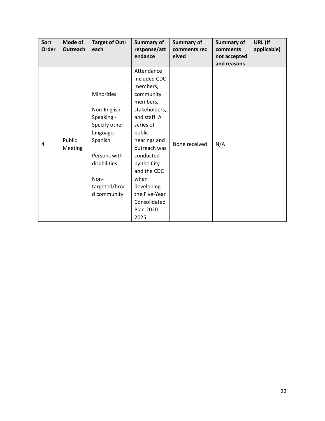| Sort         | Mode of         | <b>Target of Outr</b> | <b>Summary of</b> | <b>Summary of</b> | <b>Summary of</b> | URL (If     |
|--------------|-----------------|-----------------------|-------------------|-------------------|-------------------|-------------|
| <b>Order</b> | <b>Outreach</b> | each                  | response/att      | comments rec      | comments          | applicable) |
|              |                 |                       | endance           | eived             | not accepted      |             |
|              |                 |                       |                   |                   | and reasons       |             |
|              |                 |                       | Attendance        |                   |                   |             |
|              |                 |                       | included CDC      |                   |                   |             |
|              |                 |                       | members,          |                   |                   |             |
|              |                 | <b>Minorities</b>     | community         |                   |                   |             |
|              |                 |                       | members,          |                   |                   |             |
|              |                 | Non-English           | stakeholders,     |                   |                   |             |
|              | Public          | Speaking -            | and staff. A      |                   |                   |             |
|              |                 | Specify other         | series of         |                   |                   |             |
|              |                 | language:             | public            |                   |                   |             |
|              |                 | Spanish               | hearings and      |                   |                   |             |
| 4            | <b>Meeting</b>  |                       | outreach was      | None received     | N/A               |             |
|              |                 | Persons with          | conducted         |                   |                   |             |
|              |                 | disabilities          | by the City       |                   |                   |             |
|              |                 |                       | and the CDC       |                   |                   |             |
|              |                 | Non-                  | when              |                   |                   |             |
|              |                 | targeted/broa         | developing        |                   |                   |             |
|              |                 | d community           | the Five-Year     |                   |                   |             |
|              |                 |                       | Consolidated      |                   |                   |             |
|              |                 |                       | Plan 2020-        |                   |                   |             |
|              |                 |                       | 2025.             |                   |                   |             |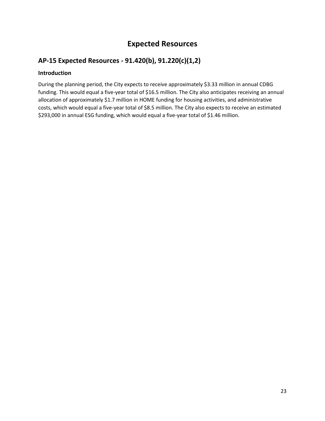### **Expected Resources**

### **AP-15 Expected Resources - 91.420(b), 91.220(c)(1,2)**

#### **Introduction**

During the planning period, the City expects to receive approximately \$3.33 million in annual CDBG funding. This would equal a five-year total of \$16.5 million. The City also anticipates receiving an annual allocation of approximately \$1.7 million in HOME funding for housing activities, and administrative costs, which would equal a five-year total of \$8.5 million. The City also expects to receive an estimated \$293,000 in annual ESG funding, which would equal a five-year total of \$1.46 million.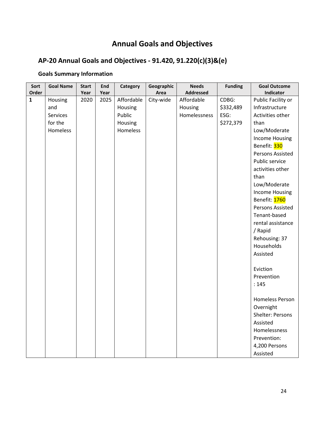# **Annual Goals and Objectives**

# **AP-20 Annual Goals and Objectives - 91.420, 91.220(c)(3)&(e)**

# **Goals Summary Information**

| Sort         | <b>Goal Name</b> | <b>Start</b> | End  | Category   | Geographic | <b>Needs</b>     | <b>Funding</b> | <b>Goal Outcome</b>     |
|--------------|------------------|--------------|------|------------|------------|------------------|----------------|-------------------------|
| Order        |                  | Year         | Year |            | Area       | <b>Addressed</b> |                | Indicator               |
| $\mathbf{1}$ | Housing          | 2020         | 2025 | Affordable | City-wide  | Affordable       | CDBG:          | Public Facility or      |
|              | and              |              |      | Housing    |            | Housing          | \$332,489      | Infrastructure          |
|              | Services         |              |      | Public     |            | Homelessness     | ESG:           | Activities other        |
|              | for the          |              |      | Housing    |            |                  | \$272,379      | than                    |
|              | Homeless         |              |      | Homeless   |            |                  |                | Low/Moderate            |
|              |                  |              |      |            |            |                  |                | <b>Income Housing</b>   |
|              |                  |              |      |            |            |                  |                | Benefit: 330            |
|              |                  |              |      |            |            |                  |                | <b>Persons Assisted</b> |
|              |                  |              |      |            |            |                  |                | Public service          |
|              |                  |              |      |            |            |                  |                | activities other        |
|              |                  |              |      |            |            |                  |                | than                    |
|              |                  |              |      |            |            |                  |                | Low/Moderate            |
|              |                  |              |      |            |            |                  |                | <b>Income Housing</b>   |
|              |                  |              |      |            |            |                  |                | Benefit: 1760           |
|              |                  |              |      |            |            |                  |                | Persons Assisted        |
|              |                  |              |      |            |            |                  |                | Tenant-based            |
|              |                  |              |      |            |            |                  |                | rental assistance       |
|              |                  |              |      |            |            |                  |                | / Rapid                 |
|              |                  |              |      |            |            |                  |                | Rehousing: 37           |
|              |                  |              |      |            |            |                  |                | Households              |
|              |                  |              |      |            |            |                  |                | Assisted                |
|              |                  |              |      |            |            |                  |                |                         |
|              |                  |              |      |            |            |                  |                | Eviction                |
|              |                  |              |      |            |            |                  |                | Prevention              |
|              |                  |              |      |            |            |                  |                | : 145                   |
|              |                  |              |      |            |            |                  |                | <b>Homeless Person</b>  |
|              |                  |              |      |            |            |                  |                | Overnight               |
|              |                  |              |      |            |            |                  |                | Shelter: Persons        |
|              |                  |              |      |            |            |                  |                | Assisted                |
|              |                  |              |      |            |            |                  |                | Homelessness            |
|              |                  |              |      |            |            |                  |                | Prevention:             |
|              |                  |              |      |            |            |                  |                | 4,200 Persons           |
|              |                  |              |      |            |            |                  |                | Assisted                |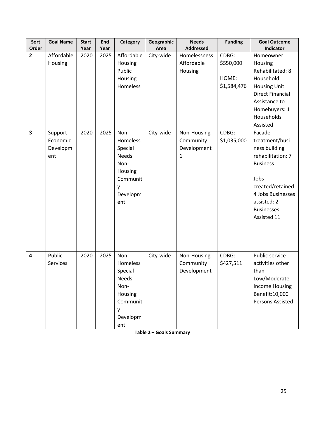| Sort<br>Order           | <b>Goal Name</b>                       | <b>Start</b><br>Year | End<br>Year | Category                                                                                           | Geographic<br>Area | <b>Needs</b><br><b>Addressed</b>                        | <b>Funding</b>                             | <b>Goal Outcome</b><br>Indicator                                                                                                                                                       |
|-------------------------|----------------------------------------|----------------------|-------------|----------------------------------------------------------------------------------------------------|--------------------|---------------------------------------------------------|--------------------------------------------|----------------------------------------------------------------------------------------------------------------------------------------------------------------------------------------|
| $\overline{2}$          | Affordable<br>Housing                  | 2020                 | 2025        | Affordable<br>Housing<br>Public<br>Housing<br>Homeless                                             | City-wide          | Homelessness<br>Affordable<br>Housing                   | CDBG:<br>\$550,000<br>HOME:<br>\$1,584,476 | Homeowner<br>Housing<br>Rehabilitated: 8<br>Household<br><b>Housing Unit</b><br><b>Direct Financial</b><br>Assistance to<br>Homebuyers: 1<br>Households<br>Assisted                    |
| $\overline{\mathbf{3}}$ | Support<br>Economic<br>Developm<br>ent | 2020                 | 2025        | Non-<br>Homeless<br>Special<br><b>Needs</b><br>Non-<br>Housing<br>Communit<br>у<br>Developm<br>ent | City-wide          | Non-Housing<br>Community<br>Development<br>$\mathbf{1}$ | CDBG:<br>\$1,035,000                       | Facade<br>treatment/busi<br>ness building<br>rehabilitation: 7<br><b>Business</b><br>Jobs<br>created/retained:<br>4 Jobs Businesses<br>assisted: 2<br><b>Businesses</b><br>Assisted 11 |
| 4                       | Public<br>Services                     | 2020                 | 2025        | Non-<br>Homeless<br>Special<br>Needs<br>Non-<br>Housing<br>Communit<br>у<br>Developm<br>ent        | City-wide          | Non-Housing<br>Community<br>Development                 | CDBG:<br>\$427,511                         | Public service<br>activities other<br>than<br>Low/Moderate<br><b>Income Housing</b><br>Benefit: 10,000<br>Persons Assisted                                                             |

**Table 2 – Goals Summary**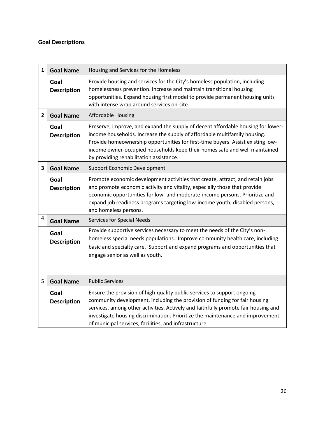### **Goal Descriptions**

| $\mathbf{1}$   | <b>Goal Name</b>           | Housing and Services for the Homeless                                                                                                                                                                                                                                                                                                                                                   |
|----------------|----------------------------|-----------------------------------------------------------------------------------------------------------------------------------------------------------------------------------------------------------------------------------------------------------------------------------------------------------------------------------------------------------------------------------------|
|                | Goal<br><b>Description</b> | Provide housing and services for the City's homeless population, including<br>homelessness prevention. Increase and maintain transitional housing<br>opportunities. Expand housing first model to provide permanent housing units<br>with intense wrap around services on-site.                                                                                                         |
| $\overline{2}$ | <b>Goal Name</b>           | <b>Affordable Housing</b>                                                                                                                                                                                                                                                                                                                                                               |
|                | Goal<br><b>Description</b> | Preserve, improve, and expand the supply of decent affordable housing for lower-<br>income households. Increase the supply of affordable multifamily housing.<br>Provide homeownership opportunities for first-time buyers. Assist existing low-<br>income owner-occupied households keep their homes safe and well maintained<br>by providing rehabilitation assistance.               |
| 3              | <b>Goal Name</b>           | <b>Support Economic Development</b>                                                                                                                                                                                                                                                                                                                                                     |
|                | Goal<br><b>Description</b> | Promote economic development activities that create, attract, and retain jobs<br>and promote economic activity and vitality, especially those that provide<br>economic opportunities for low- and moderate-income persons. Prioritize and<br>expand job readiness programs targeting low-income youth, disabled persons,<br>and homeless persons.                                       |
| $\overline{4}$ | <b>Goal Name</b>           | <b>Services for Special Needs</b>                                                                                                                                                                                                                                                                                                                                                       |
|                | Goal<br><b>Description</b> | Provide supportive services necessary to meet the needs of the City's non-<br>homeless special needs populations. Improve community health care, including<br>basic and specialty care. Support and expand programs and opportunities that<br>engage senior as well as youth.                                                                                                           |
| 5              | <b>Goal Name</b>           | <b>Public Services</b>                                                                                                                                                                                                                                                                                                                                                                  |
|                | Goal<br><b>Description</b> | Ensure the provision of high-quality public services to support ongoing<br>community development, including the provision of funding for fair housing<br>services, among other activities. Actively and faithfully promote fair housing and<br>investigate housing discrimination. Prioritize the maintenance and improvement<br>of municipal services, facilities, and infrastructure. |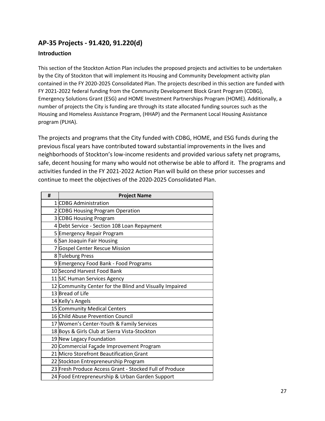### **AP-35 Projects - 91.420, 91.220(d)**

#### **Introduction**

This section of the Stockton Action Plan includes the proposed projects and activities to be undertaken by the City of Stockton that will implement its Housing and Community Development activity plan contained in the FY 2020-2025 Consolidated Plan. The projects described in this section are funded with FY 2021-2022 federal funding from the Community Development Block Grant Program (CDBG), Emergency Solutions Grant (ESG) and HOME Investment Partnerships Program (HOME). Additionally, a number of projects the City is funding are through its state allocated funding sources such as the Housing and Homeless Assistance Program, (HHAP) and the Permanent Local Housing Assistance program (PLHA).

The projects and programs that the City funded with CDBG, HOME, and ESG funds during the previous fiscal years have contributed toward substantial improvements in the lives and neighborhoods of Stockton's low‐income residents and provided various safety net programs, safe, decent housing for many who would not otherwise be able to afford it. The programs and activities funded in the FY 2021‐2022 Action Plan will build on these prior successes and continue to meet the objectives of the 2020‐2025 Consolidated Plan.

| # | <b>Project Name</b>                                     |
|---|---------------------------------------------------------|
|   | 1 CDBG Administration                                   |
|   | 2 CDBG Housing Program Operation                        |
|   | 3 CDBG Housing Program                                  |
|   | 4 Debt Service - Section 108 Loan Repayment             |
|   | 5 Emergency Repair Program                              |
|   | 6 San Joaquin Fair Housing                              |
|   | 7 Gospel Center Rescue Mission                          |
|   | 8 Tuleburg Press                                        |
|   | 9 Emergency Food Bank - Food Programs                   |
|   | 10 Second Harvest Food Bank                             |
|   | 11 SJC Human Services Agency                            |
|   | 12 Community Center for the Blind and Visually Impaired |
|   | 13 Bread of Life                                        |
|   | 14 Kelly's Angels                                       |
|   | 15 Community Medical Centers                            |
|   | <b>16 Child Abuse Prevention Council</b>                |
|   | 17 Women's Center-Youth & Family Services               |
|   | 18 Boys & Girls Club at Sierra Vista-Stockton           |
|   | 19 New Legacy Foundation                                |
|   | 20 Commercial Façade Improvement Program                |
|   | 21 Micro Storefront Beautification Grant                |
|   | 22 Stockton Entrepreneurship Program                    |
|   | 23 Fresh Produce Access Grant - Stocked Full of Produce |
|   | 24 Food Entrepreneurship & Urban Garden Support         |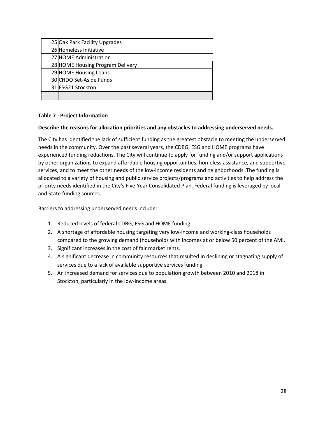| 25 Oak Park Facility Upgrades    |
|----------------------------------|
| 26 Homeless Initiative           |
| 27 HOME Administration           |
| 28 HOME Housing Program Delivery |
| 29 HOME Housing Loans            |
| 30 CHDO Set-Aside Funds          |
| 31 ESG21 Stockton                |
|                                  |

#### **Table 7 ‐ Project Information**

#### **Describe the reasons for allocation priorities and any obstacles to addressing underserved needs.**

The City has identified the lack of sufficient funding as the greatest obstacle to meeting the underserved needs in the community. Over the past several years, the CDBG, ESG and HOME programs have experienced funding reductions. The City will continue to apply for funding and/or support applications by other organizations to expand affordable housing opportunities, homeless assistance, and supportive services, and to meet the other needs of the low-income residents and neighborhoods. The funding is allocated to a variety of housing and public service projects/programs and activities to help address the priority needs identified in the City's Five-Year Consolidated Plan. Federal funding is leveraged by local and State funding sources.

Barriers to addressing underserved needs include:

- 1. Reduced levels of federal CDBG, ESG and HOME funding.
- 2. A shortage of affordable housing targeting very low-income and working-class households compared to the growing demand (households with incomes at or below 50 percent of the AMI.
- 3. Significant increases in the cost of fair market rents.
- 4. A significant decrease in community resources that resulted in declining or stagnating supply of services due to a lack of available supportive services funding.
- 5. An increased demand for services due to population growth between 2010 and 2018 in Stockton, particularly in the low-income areas.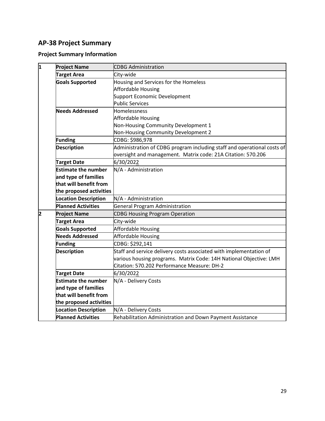### **AP-38 Project Summary**

### **Project Summary Information**

| 1 | <b>Project Name</b>         | <b>CDBG Administration</b>                                              |
|---|-----------------------------|-------------------------------------------------------------------------|
|   | <b>Target Area</b>          | City-wide                                                               |
|   | <b>Goals Supported</b>      | Housing and Services for the Homeless                                   |
|   |                             | <b>Affordable Housing</b>                                               |
|   |                             | Support Economic Development                                            |
|   |                             | <b>Public Services</b>                                                  |
|   | <b>Needs Addressed</b>      | Homelessness                                                            |
|   |                             | Affordable Housing                                                      |
|   |                             | Non-Housing Community Development 1                                     |
|   |                             | Non-Housing Community Development 2                                     |
|   | <b>Funding</b>              | CDBG: \$986,978                                                         |
|   | <b>Description</b>          | Administration of CDBG program including staff and operational costs of |
|   |                             | oversight and management. Matrix code: 21A Citation: 570.206            |
|   | <b>Target Date</b>          | 6/30/2022                                                               |
|   | <b>Estimate the number</b>  | N/A - Administration                                                    |
|   | and type of families        |                                                                         |
|   | that will benefit from      |                                                                         |
|   | the proposed activities     |                                                                         |
|   | <b>Location Description</b> | N/A - Administration                                                    |
|   | <b>Planned Activities</b>   | General Program Administration                                          |
| 2 | <b>Project Name</b>         | <b>CDBG Housing Program Operation</b>                                   |
|   | <b>Target Area</b>          | City-wide                                                               |
|   | <b>Goals Supported</b>      | Affordable Housing                                                      |
|   | <b>Needs Addressed</b>      | Affordable Housing                                                      |
|   | <b>Funding</b>              | CDBG: \$292,141                                                         |
|   | <b>Description</b>          | Staff and service delivery costs associated with implementation of      |
|   |                             | various housing programs. Matrix Code: 14H National Objective: LMH      |
|   |                             | Citation: 570.202 Performance Measure: DH-2                             |
|   | <b>Target Date</b>          | 6/30/2022                                                               |
|   | <b>Estimate the number</b>  | N/A - Delivery Costs                                                    |
|   | and type of families        |                                                                         |
|   | that will benefit from      |                                                                         |
|   | the proposed activities     |                                                                         |
|   | <b>Location Description</b> | N/A - Delivery Costs                                                    |
|   | <b>Planned Activities</b>   | Rehabilitation Administration and Down Payment Assistance               |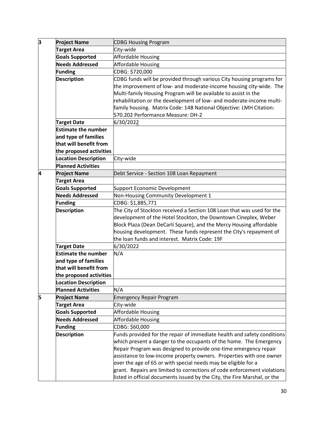| з | <b>Project Name</b>         | <b>CDBG Housing Program</b>                                               |
|---|-----------------------------|---------------------------------------------------------------------------|
|   | <b>Target Area</b>          | City-wide                                                                 |
|   | <b>Goals Supported</b>      | Affordable Housing                                                        |
|   | <b>Needs Addressed</b>      | Affordable Housing                                                        |
|   | <b>Funding</b>              | CDBG: \$720,000                                                           |
|   | <b>Description</b>          | CDBG funds will be provided through various City housing programs for     |
|   |                             | the improvement of low- and moderate-income housing city-wide. The        |
|   |                             | Multi-family Housing Program will be available to assist in the           |
|   |                             | rehabilitation or the development of low- and moderate-income multi-      |
|   |                             | family housing. Matrix Code: 14B National Objective: LMH Citation:        |
|   |                             | 570.202 Performance Measure: DH-2                                         |
|   | <b>Target Date</b>          | 6/30/2022                                                                 |
|   | <b>Estimate the number</b>  |                                                                           |
|   | and type of families        |                                                                           |
|   | that will benefit from      |                                                                           |
|   | the proposed activities     |                                                                           |
|   | <b>Location Description</b> | City-wide                                                                 |
|   | <b>Planned Activities</b>   |                                                                           |
| 4 | <b>Project Name</b>         | Debt Service - Section 108 Loan Repayment                                 |
|   | <b>Target Area</b>          |                                                                           |
|   | <b>Goals Supported</b>      | Support Economic Development                                              |
|   | <b>Needs Addressed</b>      | Non-Housing Community Development 1                                       |
|   | <b>Funding</b>              | CDBG: \$1,885,771                                                         |
|   | <b>Description</b>          | The City of Stockton received a Section 108 Loan that was used for the    |
|   |                             | development of the Hotel Stockton, the Downtown Cineplex, Weber           |
|   |                             | Block Plaza (Dean DeCarli Square), and the Mercy Housing affordable       |
|   |                             | housing development. These funds represent the City's repayment of        |
|   |                             | the loan funds and interest. Matrix Code: 19F                             |
|   | <b>Target Date</b>          | 6/30/2022                                                                 |
|   | <b>Estimate the number</b>  | N/A                                                                       |
|   | and type of families        |                                                                           |
|   | that will benefit from      |                                                                           |
|   | the proposed activities     |                                                                           |
|   | <b>Location Description</b> |                                                                           |
|   | <b>Planned Activities</b>   | N/A                                                                       |
| 5 | <b>Project Name</b>         | <b>Emergency Repair Program</b>                                           |
|   | <b>Target Area</b>          | City-wide                                                                 |
|   | <b>Goals Supported</b>      | Affordable Housing                                                        |
|   | <b>Needs Addressed</b>      | Affordable Housing                                                        |
|   | <b>Funding</b>              | CDBG: \$60,000                                                            |
|   | <b>Description</b>          | Funds provided for the repair of immediate health and safety conditions   |
|   |                             | which present a danger to the occupants of the home. The Emergency        |
|   |                             | Repair Program was designed to provide one-time emergency repair          |
|   |                             | assistance to low-income property owners. Properties with one owner       |
|   |                             | over the age of 65 or with special needs may be eligible for a            |
|   |                             | grant. Repairs are limited to corrections of code enforcement violations  |
|   |                             | listed in official documents issued by the City, the Fire Marshal, or the |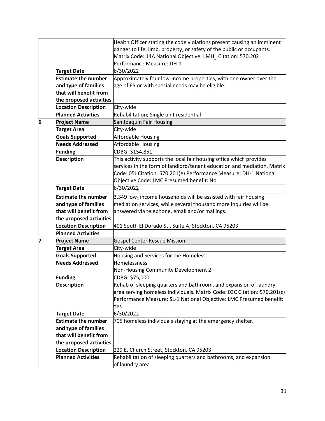|   |                             | Health Officer stating the code violations present causing an imminent                                                                         |
|---|-----------------------------|------------------------------------------------------------------------------------------------------------------------------------------------|
|   |                             | danger to life, limb, property, or safety of the public or occupants.                                                                          |
|   |                             | Matrix Code: 14A National Objective: LMH_-Citation: 570.202                                                                                    |
|   |                             | Performance Measure: DH-1                                                                                                                      |
|   | <b>Target Date</b>          | 6/30/2022                                                                                                                                      |
|   | <b>Estimate the number</b>  | Approximately four low-income properties, with one owner over the                                                                              |
|   | and type of families        | age of 65 or with special needs may be eligible.                                                                                               |
|   | that will benefit from      |                                                                                                                                                |
|   | the proposed activities     |                                                                                                                                                |
|   | <b>Location Description</b> | City-wide                                                                                                                                      |
|   | <b>Planned Activities</b>   | Rehabilitation; Single unit residential                                                                                                        |
| 6 | <b>Project Name</b>         | San Joaquin Fair Housing                                                                                                                       |
|   | <b>Target Area</b>          | City-wide                                                                                                                                      |
|   | <b>Goals Supported</b>      | Affordable Housing                                                                                                                             |
|   | <b>Needs Addressed</b>      | Affordable Housing                                                                                                                             |
|   | Funding                     | CDBG: \$154,851                                                                                                                                |
|   |                             |                                                                                                                                                |
|   | <b>Description</b>          | This activity supports the local fair housing office which provides<br>services in the form of landlord/tenant education and mediation. Matrix |
|   |                             |                                                                                                                                                |
|   |                             | Code: 05J Citation: 570.201(e) Performance Measure: DH-1 National                                                                              |
|   |                             | Objective Code: LMC Presumed benefit: No                                                                                                       |
|   | <b>Target Date</b>          | 6/30/2022                                                                                                                                      |
|   | <b>Estimate the number</b>  | 3,349 low-income households will be assisted with fair housing                                                                                 |
|   | and type of families        | mediation services, while several thousand more inquiries will be                                                                              |
|   | that will benefit from      | answered via telephone, email and/or mailings.                                                                                                 |
|   | the proposed activities     |                                                                                                                                                |
|   | <b>Location Description</b> | 401 South El Dorado St., Suite A, Stockton, CA 95203                                                                                           |
|   | <b>Planned Activities</b>   |                                                                                                                                                |
| 7 | <b>Project Name</b>         | <b>Gospel Center Rescue Mission</b>                                                                                                            |
|   | <b>Target Area</b>          | City-wide                                                                                                                                      |
|   | <b>Goals Supported</b>      | Housing and Services for the Homeless                                                                                                          |
|   | <b>Needs Addressed</b>      | Homelessness                                                                                                                                   |
|   |                             | Non-Housing Community Development 2                                                                                                            |
|   | Funding                     | CDBG: \$75,000                                                                                                                                 |
|   | <b>Description</b>          | Rehab of sleeping quarters and bathroom, and expansion of laundry                                                                              |
|   |                             | area serving homeless individuals. Matrix Code: 03C Citation: 570.201(c)                                                                       |
|   |                             | Performance Measure: SL-1 National Objective: LMC Presumed benefit:                                                                            |
|   |                             | Yes                                                                                                                                            |
|   | <b>Target Date</b>          | 6/30/2022                                                                                                                                      |
|   | <b>Estimate the number</b>  | 705 homeless individuals staying at the emergency shelter.                                                                                     |
|   | and type of families        |                                                                                                                                                |
|   | that will benefit from      |                                                                                                                                                |
|   | the proposed activities     |                                                                                                                                                |
|   | <b>Location Description</b> | 229 E. Church Street, Stockton, CA 95203                                                                                                       |
|   | <b>Planned Activities</b>   | Rehabilitation of sleeping quarters and bathrooms, and expansion                                                                               |
|   |                             | of laundry area                                                                                                                                |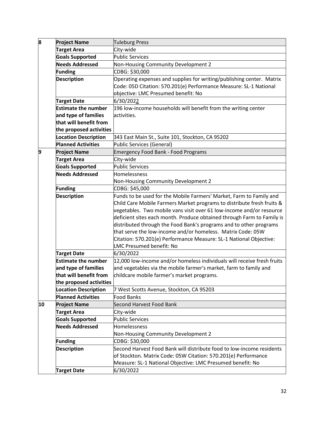| 8  | <b>Project Name</b>         | <b>Tuleburg Press</b>                                                   |
|----|-----------------------------|-------------------------------------------------------------------------|
|    | <b>Target Area</b>          | City-wide                                                               |
|    | <b>Goals Supported</b>      | <b>Public Services</b>                                                  |
|    | <b>Needs Addressed</b>      | Non-Housing Community Development 2                                     |
|    | Funding                     | CDBG: \$30,000                                                          |
|    | <b>Description</b>          | Operating expenses and supplies for writing/publishing center. Matrix   |
|    |                             | Code: 05D Citation: 570.201(e) Performance Measure: SL-1 National       |
|    |                             | objective: LMC Presumed benefit: No                                     |
|    | <b>Target Date</b>          | 6/30/2022                                                               |
|    | <b>Estimate the number</b>  | 196 low-income households will benefit from the writing center          |
|    | and type of families        | activities.                                                             |
|    | that will benefit from      |                                                                         |
|    | the proposed activities     |                                                                         |
|    | <b>Location Description</b> | 343 East Main St., Suite 101, Stockton, CA 95202                        |
|    | <b>Planned Activities</b>   | Public Services (General)                                               |
| 9  | <b>Project Name</b>         | <b>Emergency Food Bank - Food Programs</b>                              |
|    | <b>Target Area</b>          | City-wide                                                               |
|    | <b>Goals Supported</b>      | <b>Public Services</b>                                                  |
|    | <b>Needs Addressed</b>      | Homelessness                                                            |
|    |                             | Non-Housing Community Development 2                                     |
|    | <b>Funding</b>              | CDBG: \$45,000                                                          |
|    | <b>Description</b>          | Funds to be used for the Mobile Farmers' Market, Farm to Family and     |
|    |                             | Child Care Mobile Farmers Market programs to distribute fresh fruits &  |
|    |                             | vegetables. Two mobile vans visit over 61 low-income and/or resource    |
|    |                             | deficient sites each month. Produce obtained through Farm to Family is  |
|    |                             | distributed through the Food Bank's programs and to other programs      |
|    |                             | that serve the low-income and/or homeless. Matrix Code: 05W             |
|    |                             | Citation: 570.201(e) Performance Measure: SL-1 National Objective:      |
|    |                             | <b>LMC Presumed benefit: No</b>                                         |
|    | <b>Target Date</b>          | 6/30/2022                                                               |
|    | <b>Estimate the number</b>  | 12,000 low-income and/or homeless individuals will receive fresh fruits |
|    | and type of families        | and vegetables via the mobile farmer's market, farm to family and       |
|    | that will benefit from      | childcare mobile farmer's market programs.                              |
|    | the proposed activities     |                                                                         |
|    | <b>Location Description</b> | 7 West Scotts Avenue, Stockton, CA 95203                                |
|    | <b>Planned Activities</b>   | Food Banks                                                              |
| 10 | <b>Project Name</b>         | Second Harvest Food Bank                                                |
|    | <b>Target Area</b>          | City-wide                                                               |
|    | <b>Goals Supported</b>      | <b>Public Services</b>                                                  |
|    | <b>Needs Addressed</b>      | Homelessness                                                            |
|    |                             | Non-Housing Community Development 2                                     |
|    | <b>Funding</b>              | CDBG: \$30,000                                                          |
|    | <b>Description</b>          | Second Harvest Food Bank will distribute food to low-income residents   |
|    |                             | of Stockton. Matrix Code: 05W Citation: 570.201(e) Performance          |
|    |                             | Measure: SL-1 National Objective: LMC Presumed benefit: No              |
|    | <b>Target Date</b>          | 6/30/2022                                                               |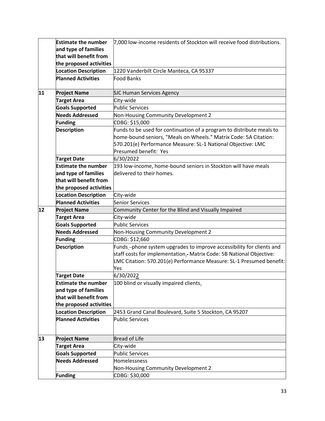|    | <b>Estimate the number</b>  | 7,000 low-income residents of Stockton will receive food distributions. |
|----|-----------------------------|-------------------------------------------------------------------------|
|    | and type of families        |                                                                         |
|    | that will benefit from      |                                                                         |
|    | the proposed activities     |                                                                         |
|    | <b>Location Description</b> | 1220 Vanderbilt Circle Manteca, CA 95337                                |
|    | <b>Planned Activities</b>   | <b>Food Banks</b>                                                       |
|    |                             |                                                                         |
| 11 | <b>Project Name</b>         | <b>SJC Human Services Agency</b>                                        |
|    | <b>Target Area</b>          | City-wide                                                               |
|    | <b>Goals Supported</b>      | <b>Public Services</b>                                                  |
|    | <b>Needs Addressed</b>      | Non-Housing Community Development 2                                     |
|    | Funding                     | CDBG: \$15,000                                                          |
|    | <b>Description</b>          | Funds to be used for continuation of a program to distribute meals to   |
|    |                             | home-bound seniors, "Meals on Wheels." Matrix Code: 5A Citation:        |
|    |                             | 570.201(e) Performance Measure: SL-1 National Objective: LMC            |
|    |                             | Presumed benefit: Yes                                                   |
|    | <b>Target Date</b>          | 6/30/2022                                                               |
|    | <b>Estimate the number</b>  | 193 low-income, home-bound seniors in Stockton will have meals          |
|    | and type of families        | delivered to their homes.                                               |
|    | that will benefit from      |                                                                         |
|    | the proposed activities     |                                                                         |
|    | <b>Location Description</b> | City-wide                                                               |
|    | <b>Planned Activities</b>   | Senior Services                                                         |
| 12 | <b>Project Name</b>         | Community Center for the Blind and Visually Impaired                    |
|    | <b>Target Area</b>          | City-wide                                                               |
|    | <b>Goals Supported</b>      | <b>Public Services</b>                                                  |
|    | <b>Needs Addressed</b>      | Non-Housing Community Development 2                                     |
|    | Funding                     | CDBG: \$12,660                                                          |
|    | <b>Description</b>          | Funds-phone system upgrades to improve accessibility for clients and    |
|    |                             | staff costs for implementation. Matrix Code: 5B National Objective:     |
|    |                             | LMC Citation: 570.201(e) Performance Measure: SL-1 Presumed benefit:    |
|    |                             | Yes                                                                     |
|    | <b>Target Date</b>          | 6/30/2022                                                               |
|    | <b>Estimate the number</b>  | 100 blind or visually impaired clients.                                 |
|    | and type of families        |                                                                         |
|    | that will benefit from      |                                                                         |
|    | the proposed activities     |                                                                         |
|    | <b>Location Description</b> | 2453 Grand Canal Boulevard, Suite 5 Stockton, CA 95207                  |
|    | <b>Planned Activities</b>   | <b>Public Services</b>                                                  |
|    |                             |                                                                         |
| 13 | <b>Project Name</b>         | <b>Bread of Life</b>                                                    |
|    | <b>Target Area</b>          | City-wide                                                               |
|    | <b>Goals Supported</b>      | <b>Public Services</b>                                                  |
|    | <b>Needs Addressed</b>      | Homelessness                                                            |
|    |                             | Non-Housing Community Development 2                                     |
|    | <b>Funding</b>              | CDBG: \$30,000                                                          |
|    |                             |                                                                         |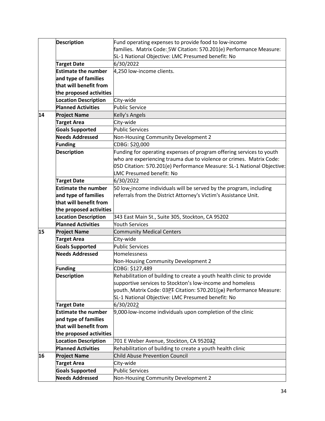|    | <b>Description</b>          | Fund operating expenses to provide food to low-income                  |
|----|-----------------------------|------------------------------------------------------------------------|
|    |                             | families. Matrix Code: 5W Citation: 570.201(e) Performance Measure:    |
|    |                             | SL-1 National Objective: LMC Presumed benefit: No                      |
|    | <b>Target Date</b>          | 6/30/2022                                                              |
|    | <b>Estimate the number</b>  | 4,250 low-income clients.                                              |
|    | and type of families        |                                                                        |
|    | that will benefit from      |                                                                        |
|    | the proposed activities     |                                                                        |
|    | <b>Location Description</b> | City-wide                                                              |
|    | <b>Planned Activities</b>   | <b>Public Service</b>                                                  |
| 14 | <b>Project Name</b>         | Kelly's Angels                                                         |
|    | <b>Target Area</b>          | City-wide                                                              |
|    | <b>Goals Supported</b>      | <b>Public Services</b>                                                 |
|    | <b>Needs Addressed</b>      | Non-Housing Community Development 2                                    |
|    | <b>Funding</b>              | CDBG: \$20,000                                                         |
|    | <b>Description</b>          | Funding for operating expenses of program offering services to youth   |
|    |                             | who are experiencing trauma due to violence or crimes. Matrix Code:    |
|    |                             | 05D Citation: 570.201(e) Performance Measure: SL-1 National Objective: |
|    |                             | LMC Presumed benefit: No                                               |
|    | <b>Target Date</b>          | 6/30/2022                                                              |
|    | <b>Estimate the number</b>  | 50 low-income individuals will be served by the program, including     |
|    | and type of families        | referrals from the District Attorney's Victim's Assistance Unit.       |
|    | that will benefit from      |                                                                        |
|    | the proposed activities     |                                                                        |
|    | <b>Location Description</b> | 343 East Main St., Suite 305, Stockton, CA 95202                       |
|    | <b>Planned Activities</b>   | <b>Youth Services</b>                                                  |
| 15 | <b>Project Name</b>         | <b>Community Medical Centers</b>                                       |
|    | <b>Target Area</b>          | City-wide                                                              |
|    | <b>Goals Supported</b>      | <b>Public Services</b>                                                 |
|    | <b>Needs Addressed</b>      | Homelessness                                                           |
|    |                             | Non-Housing Community Development 2                                    |
|    | <b>Funding</b>              | CDBG: \$127,489                                                        |
|    | <b>Description</b>          | Rehabilitation of building to create a youth health clinic to provide  |
|    |                             | supportive services to Stockton's low-income and homeless              |
|    |                             | youth. Matrix Code: 03PT Citation: 570.201(ce) Performance Measure:    |
|    |                             | SL-1 National Objective: LMC Presumed benefit: No                      |
|    | <b>Target Date</b>          | 6/30/2022                                                              |
|    | <b>Estimate the number</b>  | 9,000-low-income individuals upon completion of the clinic             |
|    | and type of families        |                                                                        |
|    | that will benefit from      |                                                                        |
|    | the proposed activities     |                                                                        |
|    | <b>Location Description</b> | 701 E Weber Avenue, Stockton, CA 952032                                |
|    | <b>Planned Activities</b>   | Rehabilitation of building to create a youth health clinic             |
| 16 | <b>Project Name</b>         | Child Abuse Prevention Council                                         |
|    | <b>Target Area</b>          | City-wide                                                              |
|    | <b>Goals Supported</b>      | <b>Public Services</b>                                                 |
|    | <b>Needs Addressed</b>      | Non-Housing Community Development 2                                    |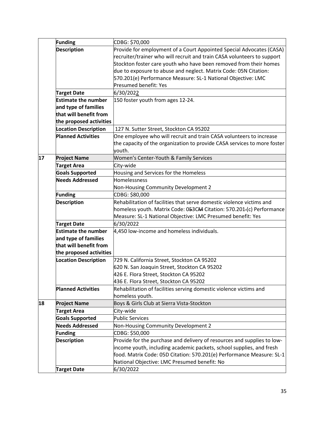|    | <b>Funding</b>              | CDBG: \$70,000                                                           |
|----|-----------------------------|--------------------------------------------------------------------------|
|    | <b>Description</b>          | Provide for employment of a Court Appointed Special Advocates (CASA)     |
|    |                             | recruiter/trainer who will recruit and train CASA volunteers to support  |
|    |                             | Stockton foster care youth who have been removed from their homes        |
|    |                             | due to exposure to abuse and neglect. Matrix Code: 05N Citation:         |
|    |                             | 570.201(e) Performance Measure: SL-1 National Objective: LMC             |
|    |                             | Presumed benefit: Yes                                                    |
|    | <b>Target Date</b>          | 6/30/2022                                                                |
|    | <b>Estimate the number</b>  | 150 foster youth from ages 12-24.                                        |
|    | and type of families        |                                                                          |
|    | that will benefit from      |                                                                          |
|    | the proposed activities     |                                                                          |
|    | <b>Location Description</b> | 127 N. Sutter Street, Stockton CA 95202                                  |
|    | <b>Planned Activities</b>   | One employee who will recruit and train CASA volunteers to increase      |
|    |                             | the capacity of the organization to provide CASA services to more foster |
|    |                             | youth.                                                                   |
| 17 | <b>Project Name</b>         | Women's Center-Youth & Family Services                                   |
|    | <b>Target Area</b>          | City-wide                                                                |
|    | <b>Goals Supported</b>      | Housing and Services for the Homeless                                    |
|    | <b>Needs Addressed</b>      | Homelessness                                                             |
|    |                             | Non-Housing Community Development 2                                      |
|    | <b>Funding</b>              | CDBG: \$80,000                                                           |
|    | <b>Description</b>          | Rehabilitation of facilities that serve domestic violence victims and    |
|    |                             | homeless youth. Matrix Code: 053CM Citation: 570.201-(c) Performance     |
|    |                             | Measure: SL-1 National Objective: LMC Presumed benefit: Yes              |
|    | <b>Target Date</b>          | 6/30/2022                                                                |
|    | <b>Estimate the number</b>  | 4,450 low-income and homeless individuals.                               |
|    | and type of families        |                                                                          |
|    | that will benefit from      |                                                                          |
|    | the proposed activities     |                                                                          |
|    | <b>Location Description</b> | 729 N. California Street, Stockton CA 95202                              |
|    |                             | 620 N. San Joaquin Street, Stockton CA 95202                             |
|    |                             | 426 E. Flora Street, Stockton CA 95202                                   |
|    |                             | 436 E. Flora Street, Stockton CA 95202                                   |
|    | <b>Planned Activities</b>   | Rehabilitation of facilities serving domestic violence victims and       |
|    |                             | homeless youth.                                                          |
| 18 | <b>Project Name</b>         | Boys & Girls Club at Sierra Vista-Stockton                               |
|    | <b>Target Area</b>          | City-wide                                                                |
|    | <b>Goals Supported</b>      | <b>Public Services</b>                                                   |
|    | <b>Needs Addressed</b>      | Non-Housing Community Development 2                                      |
|    | <b>Funding</b>              | CDBG: \$50,000                                                           |
|    | <b>Description</b>          | Provide for the purchase and delivery of resources and supplies to low-  |
|    |                             | income youth, including academic packets, school supplies, and fresh     |
|    |                             | food. Matrix Code: 05D Citation: 570.201(e) Performance Measure: SL-1    |
|    |                             | National Objective: LMC Presumed benefit: No                             |
|    | <b>Target Date</b>          | 6/30/2022                                                                |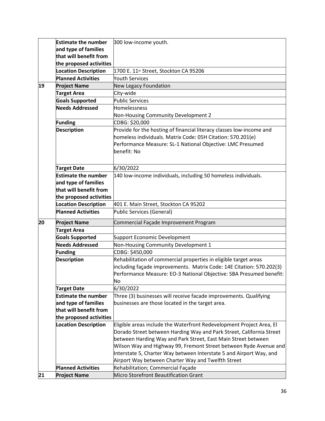|    | <b>Estimate the number</b>  | 300 low-income youth.                                                |
|----|-----------------------------|----------------------------------------------------------------------|
|    | and type of families        |                                                                      |
|    | that will benefit from      |                                                                      |
|    | the proposed activities     |                                                                      |
|    | <b>Location Description</b> | 1700 E. 11 <sup>th</sup> Street, Stockton CA 95206                   |
|    | <b>Planned Activities</b>   | <b>Youth Services</b>                                                |
| 19 | <b>Project Name</b>         |                                                                      |
|    |                             | New Legacy Foundation                                                |
|    | <b>Target Area</b>          | City-wide                                                            |
|    | <b>Goals Supported</b>      | <b>Public Services</b>                                               |
|    | <b>Needs Addressed</b>      | Homelessness                                                         |
|    |                             | Non-Housing Community Development 2                                  |
|    | Funding                     | CDBG: \$20,000                                                       |
|    | <b>Description</b>          | Provide for the hosting of financial literacy classes low-income and |
|    |                             | homeless individuals. Matrix Code: 05H Citation: 570.201(e)          |
|    |                             | Performance Measure: SL-1 National Objective: LMC Presumed           |
|    |                             | benefit: No                                                          |
|    |                             |                                                                      |
|    | <b>Target Date</b>          | 6/30/2022                                                            |
|    | <b>Estimate the number</b>  | 140 low-income individuals, including 50 homeless individuals.       |
|    | and type of families        |                                                                      |
|    | that will benefit from      |                                                                      |
|    | the proposed activities     |                                                                      |
|    | <b>Location Description</b> | 401 E. Main Street, Stockton CA 95202                                |
|    | <b>Planned Activities</b>   | Public Services (General)                                            |
|    |                             |                                                                      |
| 20 | <b>Project Name</b>         | Commercial Façade Improvement Program                                |
|    | <b>Target Area</b>          |                                                                      |
|    | <b>Goals Supported</b>      | Support Economic Development                                         |
|    | <b>Needs Addressed</b>      | Non-Housing Community Development 1                                  |
|    | <b>Funding</b>              | CDBG: \$450,000                                                      |
|    | <b>Description</b>          | Rehabilitation of commercial properties in eligible target areas     |
|    |                             | including façade improvements. Matrix Code: 14E Citation: 570.202(3) |
|    |                             | Performance Measure: EO-3 National Objective: SBA Presumed benefit:  |
|    |                             | No                                                                   |
|    | <b>Target Date</b>          | 6/30/2022                                                            |
|    | <b>Estimate the number</b>  | Three (3) businesses will receive facade improvements. Qualifying    |
|    | and type of families        | businesses are those located in the target area.                     |
|    | that will benefit from      |                                                                      |
|    | the proposed activities     |                                                                      |
|    | <b>Location Description</b> | Eligible areas include the Waterfront Redevelopment Project Area, El |
|    |                             | Dorado Street between Harding Way and Park Street, California Street |
|    |                             | between Harding Way and Park Street, East Main Street between        |
|    |                             | Wilson Way and Highway 99, Fremont Street between Ryde Avenue and    |
|    |                             | Interstate 5, Charter Way between Interstate 5 and Airport Way, and  |
|    |                             | Airport Way between Charter Way and Twelfth Street                   |
|    |                             |                                                                      |
|    | <b>Planned Activities</b>   | Rehabilitation; Commercial Façade                                    |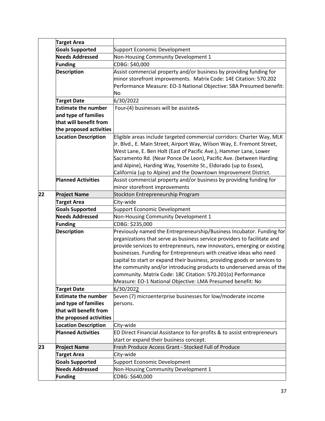|    | <b>Target Area</b>          |                                                                           |
|----|-----------------------------|---------------------------------------------------------------------------|
|    | <b>Goals Supported</b>      | Support Economic Development                                              |
|    | <b>Needs Addressed</b>      | Non-Housing Community Development 1                                       |
|    | <b>Funding</b>              | CDBG: \$40,000                                                            |
|    | <b>Description</b>          | Assist commercial property and/or business by providing funding for       |
|    |                             | minor storefront improvements. Matrix Code: 14E Citation: 570.202         |
|    |                             | Performance Measure: EO-3 National Objective: SBA Presumed benefit:       |
|    |                             | No                                                                        |
|    | <b>Target Date</b>          | 6/30/2022                                                                 |
|    | <b>Estimate the number</b>  | Four-(4) businesses will be assisted-                                     |
|    | and type of families        |                                                                           |
|    | that will benefit from      |                                                                           |
|    | the proposed activities     |                                                                           |
|    | <b>Location Description</b> | Eligible areas include targeted commercial corridors: Charter Way, MLK    |
|    |                             | Ir. Blvd., E. Main Street, Airport Way, Wilson Way, E. Fremont Street,    |
|    |                             | West Lane, E. Ben Holt (East of Pacific Ave.), Hammer Lane, Lower         |
|    |                             | Sacramento Rd. (Near Ponce De Leon), Pacific Ave. (between Harding        |
|    |                             | and Alpine), Harding Way, Yosemite St., Eldorado (up to Essex),           |
|    |                             | California (up to Alpine) and the Downtown Improvement District.          |
|    | <b>Planned Activities</b>   | Assist commercial property and/or business by providing funding for       |
|    |                             | minor storefront improvements                                             |
| 22 | <b>Project Name</b>         | Stockton Entrepreneurship Program                                         |
|    | <b>Target Area</b>          | City-wide                                                                 |
|    | <b>Goals Supported</b>      | Support Economic Development                                              |
|    | <b>Needs Addressed</b>      | Non-Housing Community Development 1                                       |
|    | <b>Funding</b>              | CDBG: \$235,000                                                           |
|    | <b>Description</b>          | Previously named the Entrepreneurship/Business Incubator. Funding for     |
|    |                             | organizations that serve as business service providers to facilitate and  |
|    |                             | provide services to entrepreneurs, new innovators, emerging or existing   |
|    |                             | businesses. Funding for Entrepreneurs with creative ideas who need        |
|    |                             | capital to start or expand their business, providing goods or services to |
|    |                             | the community and/or introducing products to underserved areas of the     |
|    |                             | community. Matrix Code: 18C Citation: 570.201(o) Performance              |
|    |                             | Measure: EO-1 National Objective: LMA Presumed benefit: No                |
|    | <b>Target Date</b>          | 6/30/2022                                                                 |
|    | <b>Estimate the number</b>  | Seven (7) microenterprise businesses for low/moderate income              |
|    | and type of families        | persons.                                                                  |
|    | that will benefit from      |                                                                           |
|    | the proposed activities     |                                                                           |
|    | <b>Location Description</b> | City-wide                                                                 |
|    | <b>Planned Activities</b>   | ED Direct Financial Assistance to for-profits & to assist entrepreneurs   |
|    |                             | start or expand their business concept.                                   |
| 23 | <b>Project Name</b>         | Fresh Produce Access Grant - Stocked Full of Produce                      |
|    | <b>Target Area</b>          | City-wide                                                                 |
|    | <b>Goals Supported</b>      | Support Economic Development                                              |
|    | <b>Needs Addressed</b>      | Non-Housing Community Development 1                                       |
|    | <b>Funding</b>              | CDBG: \$640,000                                                           |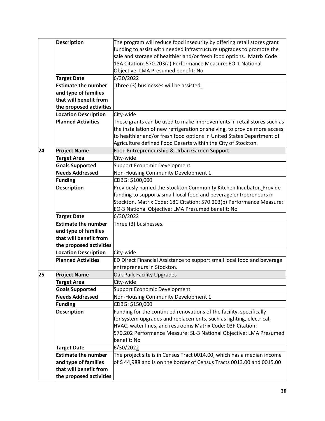|    | <b>Description</b>          | The program will reduce food insecurity by offering retail stores grant   |
|----|-----------------------------|---------------------------------------------------------------------------|
|    |                             | funding to assist with needed infrastructure upgrades to promote the      |
|    |                             | sale and storage of healthier and/or fresh food options. Matrix Code:     |
|    |                             | 18A Citation: 570.203(a) Performance Measure: EO-1 National               |
|    |                             | Objective: LMA Presumed benefit: No                                       |
|    | <b>Target Date</b>          | 6/30/2022                                                                 |
|    | <b>Estimate the number</b>  | Three (3) businesses will be assisted.                                    |
|    | and type of families        |                                                                           |
|    | that will benefit from      |                                                                           |
|    | the proposed activities     |                                                                           |
|    | <b>Location Description</b> | City-wide                                                                 |
|    | <b>Planned Activities</b>   | These grants can be used to make improvements in retail stores such as    |
|    |                             | the installation of new refrigeration or shelving, to provide more access |
|    |                             | to healthier and/or fresh food options in United States Department of     |
|    |                             | Agriculture defined Food Deserts within the City of Stockton.             |
| 24 | <b>Project Name</b>         | Food Entrepreneurship & Urban Garden Support                              |
|    | <b>Target Area</b>          | City-wide                                                                 |
|    | <b>Goals Supported</b>      | Support Economic Development                                              |
|    | <b>Needs Addressed</b>      | Non-Housing Community Development 1                                       |
|    | <b>Funding</b>              | CDBG: \$100,000                                                           |
|    | <b>Description</b>          | Previously named the Stockton Community Kitchen Incubator. Provide        |
|    |                             | funding to supports small local food and beverage entrepreneurs in        |
|    |                             | Stockton. Matrix Code: 18C Citation: 570.203(b) Performance Measure:      |
|    |                             | EO-3 National Objective: LMA Presumed benefit: No                         |
|    | <b>Target Date</b>          | 6/30/2022                                                                 |
|    | <b>Estimate the number</b>  | Three (3) businesses.                                                     |
|    | and type of families        |                                                                           |
|    | that will benefit from      |                                                                           |
|    | the proposed activities     |                                                                           |
|    | <b>Location Description</b> | City-wide                                                                 |
|    | <b>Planned Activities</b>   | ED Direct Financial Assistance to support small local food and beverage   |
|    |                             | entrepreneurs in Stockton.                                                |
| 25 | <b>Project Name</b>         | Oak Park Facility Upgrades                                                |
|    | <b>Target Area</b>          | City-wide                                                                 |
|    | <b>Goals Supported</b>      | Support Economic Development                                              |
|    | <b>Needs Addressed</b>      | Non-Housing Community Development 1                                       |
|    | <b>Funding</b>              | CDBG: \$150,000                                                           |
|    | <b>Description</b>          | Funding for the continued renovations of the facility, specifically       |
|    |                             | for system upgrades and replacements, such as lighting, electrical,       |
|    |                             | HVAC, water lines, and restrooms Matrix Code: 03F Citation:               |
|    |                             | 570.202 Performance Measure: SL-3 National Objective: LMA Presumed        |
|    |                             | benefit: No                                                               |
|    | <b>Target Date</b>          | 6/30/2022                                                                 |
|    | <b>Estimate the number</b>  | The project site is in Census Tract 0014.00, which has a median income    |
|    | and type of families        | of \$44,988 and is on the border of Census Tracts 0013.00 and 0015.00     |
|    | that will benefit from      |                                                                           |
|    | the proposed activities     |                                                                           |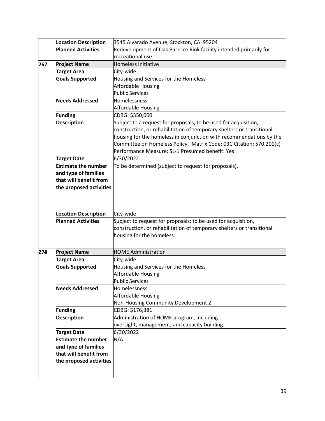|     | <b>Location Description</b> | 3545 Alvarado Avenue, Stockton, CA 95204                              |
|-----|-----------------------------|-----------------------------------------------------------------------|
|     | <b>Planned Activities</b>   | Redevelopment of Oak Park Ice Rink facility intended primarily for    |
|     |                             | recreational use.                                                     |
| 267 | <b>Project Name</b>         | Homeless Initiative                                                   |
|     | <b>Target Area</b>          | City-wide                                                             |
|     | <b>Goals Supported</b>      | Housing and Services for the Homeless                                 |
|     |                             | <b>Affordable Housing</b>                                             |
|     |                             | <b>Public Services</b>                                                |
|     | <b>Needs Addressed</b>      | Homelessness                                                          |
|     |                             | Affordable Housing                                                    |
|     | Funding                     | CDBG: \$350,000                                                       |
|     | <b>Description</b>          | Subject to a request for proposals, to be used for acquisition,       |
|     |                             | construction, or rehabilitation of temporary shelters or transitional |
|     |                             | housing for the homeless in conjunction with recommendations by the   |
|     |                             | Committee on Homeless Policy. Matrix Code: 03C Citation: 570.201(c)   |
|     |                             | Performance Measure: SL-1 Presumed benefit: Yes                       |
|     | <b>Target Date</b>          | 6/30/2022                                                             |
|     | <b>Estimate the number</b>  | To be determined (subject to request for proposals).                  |
|     | and type of families        |                                                                       |
|     | that will benefit from      |                                                                       |
|     | the proposed activities     |                                                                       |
|     |                             |                                                                       |
|     |                             |                                                                       |
|     | <b>Location Description</b> | City-wide                                                             |
|     | <b>Planned Activities</b>   | Subject to request for proposals; to be used for acquisition,         |
|     |                             | construction, or rehabilitation of temporary shelters or transitional |
|     |                             | housing for the homeless.                                             |
|     |                             |                                                                       |
| 278 | <b>Project Name</b>         | <b>HOME Administration</b>                                            |
|     | <b>Target Area</b>          | City-wide                                                             |
|     | <b>Goals Supported</b>      | Housing and Services for the Homeless                                 |
|     |                             | <b>Affordable Housing</b>                                             |
|     |                             | <b>Public Services</b>                                                |
|     | <b>Needs Addressed</b>      | Homelessness                                                          |
|     |                             | <b>Affordable Housing</b>                                             |
|     |                             | Non-Housing Community Development 2                                   |
|     | <b>Funding</b>              | CDBG: \$176,381                                                       |
|     | <b>Description</b>          | Administration of HOME program, including                             |
|     |                             | oversight, management, and capacity building.                         |
|     |                             |                                                                       |
|     |                             |                                                                       |
|     | <b>Target Date</b>          | 6/30/2022                                                             |
|     | <b>Estimate the number</b>  | N/A                                                                   |
|     | and type of families        |                                                                       |
|     | that will benefit from      |                                                                       |
|     | the proposed activities     |                                                                       |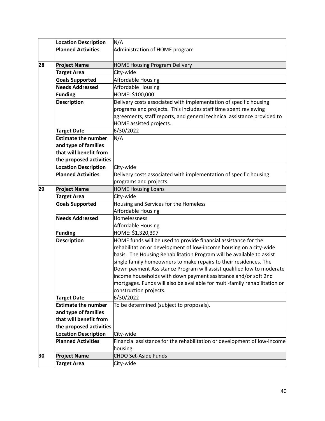|    | <b>Location Description</b> | N/A                                                                        |
|----|-----------------------------|----------------------------------------------------------------------------|
|    | <b>Planned Activities</b>   | Administration of HOME program                                             |
|    |                             |                                                                            |
| 28 | <b>Project Name</b>         | <b>HOME Housing Program Delivery</b>                                       |
|    | <b>Target Area</b>          | City-wide                                                                  |
|    | <b>Goals Supported</b>      | Affordable Housing                                                         |
|    | <b>Needs Addressed</b>      | Affordable Housing                                                         |
|    | Funding                     | HOME: \$100,000                                                            |
|    | <b>Description</b>          | Delivery costs associated with implementation of specific housing          |
|    |                             | programs and projects. This includes staff time spent reviewing            |
|    |                             | agreements, staff reports, and general technical assistance provided to    |
|    |                             | HOME assisted projects.                                                    |
|    | <b>Target Date</b>          | 6/30/2022                                                                  |
|    | <b>Estimate the number</b>  | N/A                                                                        |
|    | and type of families        |                                                                            |
|    | that will benefit from      |                                                                            |
|    | the proposed activities     |                                                                            |
|    | <b>Location Description</b> | City-wide                                                                  |
|    | <b>Planned Activities</b>   | Delivery costs associated with implementation of specific housing          |
|    |                             | programs and projects                                                      |
| 29 | <b>Project Name</b>         | <b>HOME Housing Loans</b>                                                  |
|    | <b>Target Area</b>          | City-wide                                                                  |
|    | <b>Goals Supported</b>      | Housing and Services for the Homeless                                      |
|    |                             | Affordable Housing                                                         |
|    | <b>Needs Addressed</b>      | Homelessness                                                               |
|    |                             | Affordable Housing                                                         |
|    | <b>Funding</b>              | HOME: \$1,320,397                                                          |
|    | <b>Description</b>          | HOME funds will be used to provide financial assistance for the            |
|    |                             | rehabilitation or development of low-income housing on a city-wide         |
|    |                             | basis. The Housing Rehabilitation Program will be available to assist      |
|    |                             | single family homeowners to make repairs to their residences. The          |
|    |                             | Down payment Assistance Program will assist qualified low to moderate      |
|    |                             | income households with down payment assistance and/or soft 2nd             |
|    |                             | mortgages. Funds will also be available for multi-family rehabilitation or |
|    |                             | construction projects.                                                     |
|    | <b>Target Date</b>          | 6/30/2022                                                                  |
|    | <b>Estimate the number</b>  | To be determined (subject to proposals).                                   |
|    | and type of families        |                                                                            |
|    | that will benefit from      |                                                                            |
|    | the proposed activities     |                                                                            |
|    | <b>Location Description</b> | City-wide                                                                  |
|    | <b>Planned Activities</b>   | Financial assistance for the rehabilitation or development of low-income   |
|    |                             | housing.                                                                   |
| 30 | <b>Project Name</b>         | <b>CHDO Set-Aside Funds</b>                                                |
|    | <b>Target Area</b>          | City-wide                                                                  |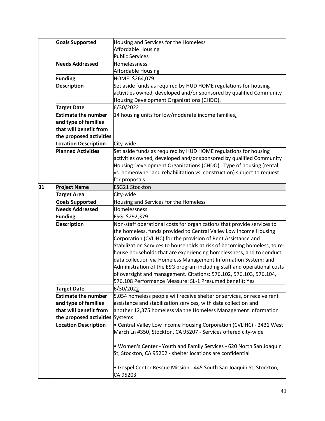|    | <b>Goals Supported</b>      | Housing and Services for the Homeless                                     |
|----|-----------------------------|---------------------------------------------------------------------------|
|    |                             | Affordable Housing                                                        |
|    |                             | <b>Public Services</b>                                                    |
|    | <b>Needs Addressed</b>      | Homelessness                                                              |
|    |                             | Affordable Housing                                                        |
|    | <b>Funding</b>              | HOME: \$264,079                                                           |
|    | <b>Description</b>          | Set aside funds as required by HUD HOME regulations for housing           |
|    |                             | activities owned, developed and/or sponsored by qualified Community       |
|    |                             | Housing Development Organizations (CHDO).                                 |
|    | Target Date                 | 6/30/2022                                                                 |
|    | <b>Estimate the number</b>  | 14 housing units for low/moderate income families.                        |
|    | and type of families        |                                                                           |
|    | that will benefit from      |                                                                           |
|    | the proposed activities     |                                                                           |
|    | <b>Location Description</b> | City-wide                                                                 |
|    | <b>Planned Activities</b>   | Set aside funds as required by HUD HOME regulations for housing           |
|    |                             | activities owned, developed and/or sponsored by qualified Community       |
|    |                             | Housing Development Organizations (CHDO). Type of housing (rental         |
|    |                             | vs. homeowner and rehabilitation vs. construction) subject to request     |
|    |                             | for proposals.                                                            |
| 31 | <b>Project Name</b>         | <b>ESG21 Stockton</b>                                                     |
|    | <b>Target Area</b>          | City-wide                                                                 |
|    | <b>Goals Supported</b>      | Housing and Services for the Homeless                                     |
|    | <b>Needs Addressed</b>      | Homelessness                                                              |
|    | <b>Funding</b>              | ESG: \$292,379                                                            |
|    | <b>Description</b>          | Non-staff operational costs for organizations that provide services to    |
|    |                             | the homeless, funds provided to Central Valley Low Income Housing         |
|    |                             | Corporation (CVLIHC) for the provision of Rent Assistance and             |
|    |                             | Stabilization Services to households at risk of becoming homeless, to re- |
|    |                             | house households that are experiencing homelessness, and to conduct       |
|    |                             | data collection via Homeless Management Information System; and           |
|    |                             | Administration of the ESG program including staff and operational costs   |
|    |                             | of oversight and management. Citations: 576.102, 576.103, 576.104,        |
|    |                             | 576.108 Performance Measure: SL-1 Presumed benefit: Yes                   |
|    | <b>Target Date</b>          | 6/30/2022                                                                 |
|    | <b>Estimate the number</b>  | 5,054 homeless people will receive shelter or services, or receive rent   |
|    | and type of families        | assistance and stabilization services, with data collection and           |
|    | that will benefit from      | another 12,375 homeless via the Homeless Management Information           |
|    | the proposed activities     | Systems.                                                                  |
|    | <b>Location Description</b> | • Central Valley Low Income Housing Corporation (CVLIHC) - 2431 West      |
|    |                             | March Ln #350, Stockton, CA 95207 - Services offered city-wide            |
|    |                             |                                                                           |
|    |                             | • Women's Center - Youth and Family Services - 620 North San Joaquin      |
|    |                             | St, Stockton, CA 95202 - shelter locations are confidential               |
|    |                             |                                                                           |
|    |                             | • Gospel Center Rescue Mission - 445 South San Joaquin St, Stockton,      |
|    |                             | CA 95203                                                                  |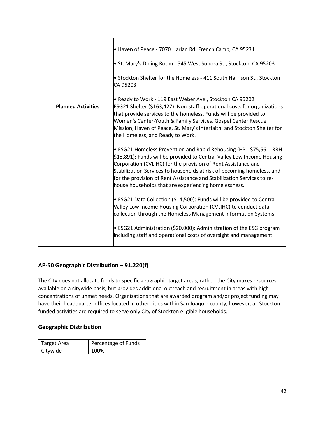| • Haven of Peace - 7070 Harlan Rd, French Camp, CA 95231                                                                                                                                                                                                                                                                                                                                                                     |
|------------------------------------------------------------------------------------------------------------------------------------------------------------------------------------------------------------------------------------------------------------------------------------------------------------------------------------------------------------------------------------------------------------------------------|
| • St. Mary's Dining Room - 545 West Sonora St., Stockton, CA 95203                                                                                                                                                                                                                                                                                                                                                           |
| • Stockton Shelter for the Homeless - 411 South Harrison St., Stockton<br>CA 95203                                                                                                                                                                                                                                                                                                                                           |
| • Ready to Work - 119 East Weber Ave., Stockton CA 95202                                                                                                                                                                                                                                                                                                                                                                     |
| ESG21 Shelter (\$163,427): Non-staff operational costs for organizations<br>that provide services to the homeless. Funds will be provided to<br>Women's Center-Youth & Family Services, Gospel Center Rescue<br>Mission, Haven of Peace, St. Mary's Interfaith, and Stockton Shelter for<br>the Homeless, and Ready to Work.                                                                                                 |
| • ESG21 Homeless Prevention and Rapid Rehousing (HP - \$75,561; RRH -<br>\$18,891): Funds will be provided to Central Valley Low Income Housing<br>Corporation (CVLIHC) for the provision of Rent Assistance and<br>Stabilization Services to households at risk of becoming homeless, and<br>for the provision of Rent Assistance and Stabilization Services to re-<br>house households that are experiencing homelessness. |
| • ESG21 Data Collection (\$14,500): Funds will be provided to Central<br>Valley Low Income Housing Corporation (CVLIHC) to conduct data<br>collection through the Homeless Management Information Systems.                                                                                                                                                                                                                   |
| • ESG21 Administration (\$20,000): Administration of the ESG program                                                                                                                                                                                                                                                                                                                                                         |
|                                                                                                                                                                                                                                                                                                                                                                                                                              |

#### **AP‐50 Geographic Distribution – 91.220(f)**

The City does not allocate funds to specific geographic target areas; rather, the City makes resources available on a citywide basis, but provides additional outreach and recruitment in areas with high concentrations of unmet needs. Organizations that are awarded program and/or project funding may have their headquarter offices located in other cities within San Joaquin county, however, all Stockton funded activities are required to serve only City of Stockton eligible households.

#### **Geographic Distribution**

| Target Area | Percentage of Funds |
|-------------|---------------------|
| Citywide    | 100%                |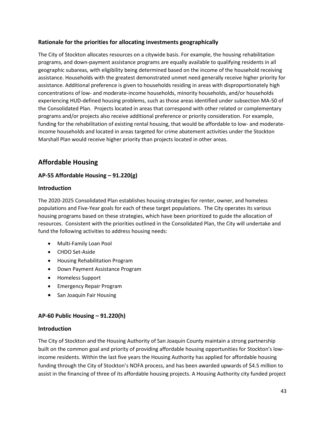#### **Rationale for the priorities for allocating investments geographically**

The City of Stockton allocates resources on a citywide basis. For example, the housing rehabilitation programs, and down‐payment assistance programs are equally available to qualifying residents in all geographic subareas, with eligibility being determined based on the income of the household receiving assistance. Households with the greatest demonstrated unmet need generally receive higher priority for assistance. Additional preference is given to households residing in areas with disproportionately high concentrations of low‐ and moderate‐income households, minority households, and/or households experiencing HUD‐defined housing problems, such as those areas identified under subsection MA‐50 of the Consolidated Plan. Projects located in areas that correspond with other related or complementary programs and/or projects also receive additional preference or priority consideration. For example, funding for the rehabilitation of existing rental housing, that would be affordable to low- and moderateincome households and located in areas targeted for crime abatement activities under the Stockton Marshall Plan would receive higher priority than projects located in other areas.

### **Affordable Housing**

#### **AP‐55 Affordable Housing – 91.220(g)**

#### **Introduction**

The 2020‐2025 Consolidated Plan establishes housing strategies for renter, owner, and homeless populations and Five‐Year goals for each of these target populations. The City operates its various housing programs based on these strategies, which have been prioritized to guide the allocation of resources. Consistent with the priorities outlined in the Consolidated Plan, the City will undertake and fund the following activities to address housing needs:

- Multi‐Family Loan Pool
- CHDO Set‐Aside
- Housing Rehabilitation Program
- Down Payment Assistance Program
- Homeless Support
- Emergency Repair Program
- San Joaquin Fair Housing

#### **AP‐60 Public Housing – 91.220(h)**

#### **Introduction**

The City of Stockton and the Housing Authority of San Joaquin County maintain a strong partnership built on the common goal and priority of providing affordable housing opportunities for Stockton's lowincome residents. Within the last five years the Housing Authority has applied for affordable housing funding through the City of Stockton's NOFA process, and has been awarded upwards of \$4.5 million to assist in the financing of three of its affordable housing projects. A Housing Authority city funded project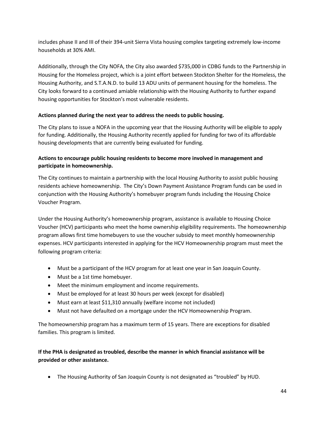includes phase II and III of their 394‐unit Sierra Vista housing complex targeting extremely low-income households at 30% AMI.

Additionally, through the City NOFA, the City also awarded \$735,000 in CDBG funds to the Partnership in Housing for the Homeless project, which is a joint effort between Stockton Shelter for the Homeless, the Housing Authority, and S.T.A.N.D. to build 13 ADU units of permanent housing for the homeless. The City looks forward to a continued amiable relationship with the Housing Authority to further expand housing opportunities for Stockton's most vulnerable residents.

#### **Actions planned during the next year to address the needs to public housing.**

The City plans to issue a NOFA in the upcoming year that the Housing Authority will be eligible to apply for funding. Additionally, the Housing Authority recently applied for funding for two of its affordable housing developments that are currently being evaluated for funding.

#### **Actions to encourage public housing residents to become more involved in management and participate in homeownership.**

The City continues to maintain a partnership with the local Housing Authority to assist public housing residents achieve homeownership. The City's Down Payment Assistance Program funds can be used in conjunction with the Housing Authority's homebuyer program funds including the Housing Choice Voucher Program.

Under the Housing Authority's homeownership program, assistance is available to Housing Choice Voucher (HCV) participants who meet the home ownership eligibility requirements. The homeownership program allows first time homebuyers to use the voucher subsidy to meet monthly homeownership expenses. HCV participants interested in applying for the HCV Homeownership program must meet the following program criteria:

- Must be a participant of the HCV program for at least one year in San Joaquin County.
- Must be a 1st time homebuyer.
- Meet the minimum employment and income requirements.
- Must be employed for at least 30 hours per week (except for disabled)
- Must earn at least \$11,310 annually (welfare income not included)
- Must not have defaulted on a mortgage under the HCV Homeownership Program.

The homeownership program has a maximum term of 15 years. There are exceptions for disabled families. This program is limited.

#### **If the PHA is designated as troubled, describe the manner in which financial assistance will be provided or other assistance.**

• The Housing Authority of San Joaquin County is not designated as "troubled" by HUD.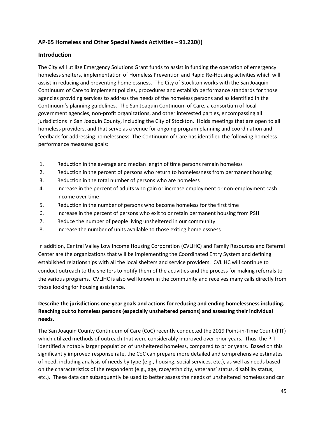#### **AP‐65 Homeless and Other Special Needs Activities – 91.220(i)**

#### **Introduction**

The City will utilize Emergency Solutions Grant funds to assist in funding the operation of emergency homeless shelters, implementation of Homeless Prevention and Rapid Re‐Housing activities which will assist in reducing and preventing homelessness. The City of Stockton works with the San Joaquin Continuum of Care to implement policies, procedures and establish performance standards for those agencies providing services to address the needs of the homeless persons and as identified in the Continuum's planning guidelines. The San Joaquin Continuum of Care, a consortium of local government agencies, non‐profit organizations, and other interested parties, encompassing all jurisdictions in San Joaquin County, including the City of Stockton. Holds meetings that are open to all homeless providers, and that serve as a venue for ongoing program planning and coordination and feedback for addressing homelessness. The Continuum of Care has identified the following homeless performance measures goals:

- 1. Reduction in the average and median length of time persons remain homeless
- 2. Reduction in the percent of persons who return to homelessness from permanent housing
- 3. Reduction in the total number of persons who are homeless
- 4. Increase in the percent of adults who gain or increase employment or non-employment cash income over time
- 5. Reduction in the number of persons who become homeless for the first time
- 6. Increase in the percent of persons who exit to or retain permanent housing from PSH
- 7. Reduce the number of people living unsheltered in our community
- 8. Increase the number of units available to those exiting homelessness

In addition, Central Valley Low Income Housing Corporation (CVLIHC) and Family Resources and Referral Center are the organizations that will be implementing the Coordinated Entry System and defining established relationships with all the local shelters and service providers. CVLIHC will continue to conduct outreach to the shelters to notify them of the activities and the process for making referrals to the various programs. CVLIHC is also well known in the community and receives many calls directly from those looking for housing assistance.

#### **Describe the jurisdictions one‐year goals and actions for reducing and ending homelessness including. Reaching out to homeless persons (especially unsheltered persons) and assessing their individual needs.**

The San Joaquin County Continuum of Care (CoC) recently conducted the 2019 Point‐in‐Time Count (PIT) which utilized methods of outreach that were considerably improved over prior years. Thus, the PIT identified a notably larger population of unsheltered homeless, compared to prior years. Based on this significantly improved response rate, the CoC can prepare more detailed and comprehensive estimates of need, including analysis of needs by type (e.g., housing, social services, etc.), as well as needs based on the characteristics of the respondent (e.g., age, race/ethnicity, veterans' status, disability status, etc.). These data can subsequently be used to better assess the needs of unsheltered homeless and can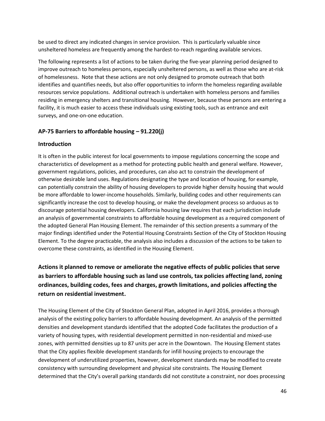be used to direct any indicated changes in service provision. This is particularly valuable since unsheltered homeless are frequently among the hardest‐to‐reach regarding available services.

The following represents a list of actions to be taken during the five-year planning period designed to improve outreach to homeless persons, especially unsheltered persons, as well as those who are at-risk of homelessness. Note that these actions are not only designed to promote outreach that both identifies and quantifies needs, but also offer opportunities to inform the homeless regarding available resources service populations. Additional outreach is undertaken with homeless persons and families residing in emergency shelters and transitional housing. However, because these persons are entering a facility, it is much easier to access these individuals using existing tools, such as entrance and exit surveys, and one‐on‐one education.

#### **AP‐75 Barriers to affordable housing – 91.220(j)**

#### **Introduction**

It is often in the public interest for local governments to impose regulations concerning the scope and characteristics of development as a method for protecting public health and general welfare. However, government regulations, policies, and procedures, can also act to constrain the development of otherwise desirable land uses. Regulations designating the type and location of housing, for example, can potentially constrain the ability of housing developers to provide higher density housing that would be more affordable to lower-income households. Similarly, building codes and other requirements can significantly increase the cost to develop housing, or make the development process so arduous as to discourage potential housing developers. California housing law requires that each jurisdiction include an analysis of governmental constraints to affordable housing development as a required component of the adopted General Plan Housing Element. The remainder of this section presents a summary of the major findings identified under the Potential Housing Constraints Section of the City of Stockton Housing Element. To the degree practicable, the analysis also includes a discussion of the actions to be taken to overcome these constraints, as identified in the Housing Element.

### **Actions it planned to remove or ameliorate the negative effects of public policies that serve as barriers to affordable housing such as land use controls, tax policies affecting land, zoning ordinances, building codes, fees and charges, growth limitations, and policies affecting the return on residential investment.**

The Housing Element of the City of Stockton General Plan, adopted in April 2016, provides a thorough analysis of the existing policy barriers to affordable housing development. An analysis of the permitted densities and development standards identified that the adopted Code facilitates the production of a variety of housing types, with residential development permitted in non‐residential and mixed‐use zones, with permitted densities up to 87 units per acre in the Downtown. The Housing Element states that the City applies flexible development standards for infill housing projects to encourage the development of underutilized properties, however, development standards may be modified to create consistency with surrounding development and physical site constraints. The Housing Element determined that the City's overall parking standards did not constitute a constraint, nor does processing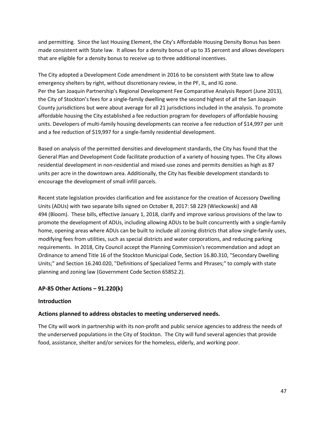and permitting. Since the last Housing Element, the City's Affordable Housing Density Bonus has been made consistent with State law. It allows for a density bonus of up to 35 percent and allows developers that are eligible for a density bonus to receive up to three additional incentives.

The City adopted a Development Code amendment in 2016 to be consistent with State law to allow emergency shelters by right, without discretionary review, in the PF, IL, and IG zone. Per the San Joaquin Partnership's Regional Development Fee Comparative Analysis Report (June 2013), the City of Stockton's fees for a single‐family dwelling were the second highest of all the San Joaquin County jurisdictions but were about average for all 21 jurisdictions included in the analysis. To promote affordable housing the City established a fee reduction program for developers of affordable housing units. Developers of multi-family housing developments can receive a fee reduction of \$14,997 per unit and a fee reduction of \$19,997 for a single-family residential development.

Based on analysis of the permitted densities and development standards, the City has found that the General Plan and Development Code facilitate production of a variety of housing types. The City allows residential development in non‐residential and mixed‐use zones and permits densities as high as 87 units per acre in the downtown area. Additionally, the City has flexible development standards to encourage the development of small infill parcels.

Recent state legislation provides clarification and fee assistance for the creation of Accessory Dwelling Units (ADUs) with two separate bills signed on October 8, 2017: SB 229 (Wieckowski) and AB 494 (Bloom). These bills, effective January 1, 2018, clarify and improve various provisions of the law to promote the development of ADUs, including allowing ADUs to be built concurrently with a single‐family home, opening areas where ADUs can be built to include all zoning districts that allow single-family uses, modifying fees from utilities, such as special districts and water corporations, and reducing parking requirements. In 2018, City Council accept the Planning Commission's recommendation and adopt an Ordinance to amend Title 16 of the Stockton Municipal Code, Section 16.80.310, "Secondary Dwelling Units;" and Section 16.240.020, "Definitions of Specialized Terms and Phrases;" to comply with state planning and zoning law (Government Code Section 65852.2).

#### **AP‐85 Other Actions – 91.220(k)**

#### **Introduction**

#### **Actions planned to address obstacles to meeting underserved needs.**

The City will work in partnership with its non‐profit and public service agencies to address the needs of the underserved populations in the City of Stockton. The City will fund several agencies that provide food, assistance, shelter and/or services for the homeless, elderly, and working poor.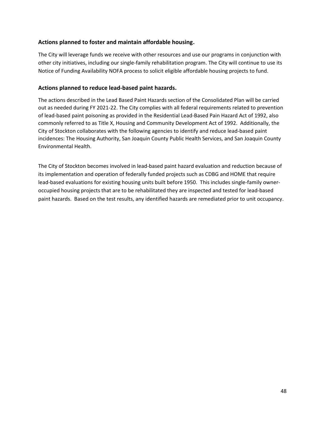#### **Actions planned to foster and maintain affordable housing.**

The City will leverage funds we receive with other resources and use our programs in conjunction with other city initiatives, including our single‐family rehabilitation program. The City will continue to use its Notice of Funding Availability NOFA process to solicit eligible affordable housing projects to fund.

#### **Actions planned to reduce lead‐based paint hazards.**

The actions described in the Lead Based Paint Hazards section of the Consolidated Plan will be carried out as needed during FY 2021‐22. The City complies with all federal requirements related to prevention of lead‐based paint poisoning as provided in the Residential Lead‐Based Pain Hazard Act of 1992, also commonly referred to as Title X, Housing and Community Development Act of 1992. Additionally, the City of Stockton collaborates with the following agencies to identify and reduce lead‐based paint incidences: The Housing Authority, San Joaquin County Public Health Services, and San Joaquin County Environmental Health.

The City of Stockton becomes involved in lead‐based paint hazard evaluation and reduction because of its implementation and operation of federally funded projects such as CDBG and HOME that require lead-based evaluations for existing housing units built before 1950. This includes single-family owneroccupied housing projects that are to be rehabilitated they are inspected and tested for lead‐based paint hazards. Based on the test results, any identified hazards are remediated prior to unit occupancy.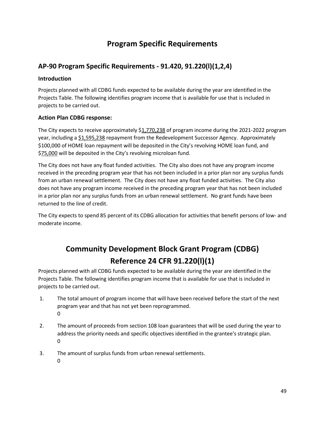## **Program Specific Requirements**

### **AP-90 Program Specific Requirements - 91.420, 91.220(l)(1,2,4)**

#### **Introduction**

Projects planned with all CDBG funds expected to be available during the year are identified in the Projects Table. The following identifies program income that is available for use that is included in projects to be carried out.

#### **Action Plan CDBG response:**

The City expects to receive approximately \$1,770,238 of program income during the 2021‐2022 program year, including a \$1,595,238 repayment from the Redevelopment Successor Agency. Approximately \$100,000 of HOME loan repayment will be deposited in the City's revolving HOME loan fund, and \$75,000 will be deposited in the City's revolving microloan fund.

The City does not have any float funded activities. The City also does not have any program income received in the preceding program year that has not been included in a prior plan nor any surplus funds from an urban renewal settlement. The City does not have any float funded activities. The City also does not have any program income received in the preceding program year that has not been included in a prior plan nor any surplus funds from an urban renewal settlement. No grant funds have been returned to the line of credit.

The City expects to spend 85 percent of its CDBG allocation for activities that benefit persons of low‐ and moderate income.

# **Community Development Block Grant Program (CDBG) Reference 24 CFR 91.220(l)(1)**

Projects planned with all CDBG funds expected to be available during the year are identified in the Projects Table. The following identifies program income that is available for use that is included in projects to be carried out.

- 1. The total amount of program income that will have been received before the start of the next program year and that has not yet been reprogrammed. 0
- 2. The amount of proceeds from section 108 loan guarantees that will be used during the year to address the priority needs and specific objectives identified in the grantee's strategic plan. 0
- 3. The amount of surplus funds from urban renewal settlements.
	- $\Omega$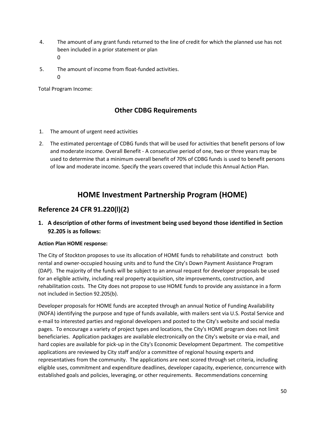- 4. The amount of any grant funds returned to the line of credit for which the planned use has not been included in a prior statement or plan 0
- 5. The amount of income from float‐funded activities.  $\Omega$

Total Program Income:

### **Other CDBG Requirements**

- 1. The amount of urgent need activities
- 2. The estimated percentage of CDBG funds that will be used for activities that benefit persons of low and moderate income. Overall Benefit ‐ A consecutive period of one, two or three years may be used to determine that a minimum overall benefit of 70% of CDBG funds is used to benefit persons of low and moderate income. Specify the years covered that include this Annual Action Plan.

# **HOME Investment Partnership Program (HOME)**

### **Reference 24 CFR 91.220(l)(2)**

**1. A description of other forms of investment being used beyond those identified in Section 92.205 is as follows:**

#### **Action Plan HOME response:**

The City of Stockton proposes to use its allocation of HOME funds to rehabilitate and construct both rental and owner‐occupied housing units and to fund the City's Down Payment Assistance Program (DAP). The majority of the funds will be subject to an annual request for developer proposals be used for an eligible activity, including real property acquisition, site improvements, construction, and rehabilitation costs. The City does not propose to use HOME funds to provide any assistance in a form not included in Section 92.205(b).

Developer proposals for HOME funds are accepted through an annual Notice of Funding Availability (NOFA) identifying the purpose and type of funds available, with mailers sent via U.S. Postal Service and e‐mail to interested parties and regional developers and posted to the City's website and social media pages. To encourage a variety of project types and locations, the City's HOME program does not limit beneficiaries. Application packages are available electronically on the City's website or via e‐mail, and hard copies are available for pick-up in the City's Economic Development Department. The competitive applications are reviewed by City staff and/or a committee of regional housing experts and representatives from the community. The applications are next scored through set criteria, including eligible uses, commitment and expenditure deadlines, developer capacity, experience, concurrence with established goals and policies, leveraging, or other requirements. Recommendations concerning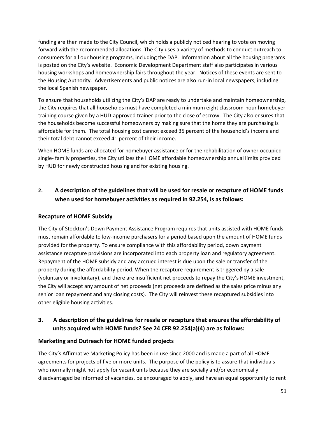funding are then made to the City Council, which holds a publicly noticed hearing to vote on moving forward with the recommended allocations. The City uses a variety of methods to conduct outreach to consumers for all our housing programs, including the DAP. Information about all the housing programs is posted on the City's website. Economic Development Department staff also participates in various housing workshops and homeownership fairs throughout the year. Notices of these events are sent to the Housing Authority. Advertisements and public notices are also run-in local newspapers, including the local Spanish newspaper.

To ensure that households utilizing the City's DAP are ready to undertake and maintain homeownership, the City requires that all households must have completed a minimum eight classroom‐hour homebuyer training course given by a HUD‐approved trainer prior to the close of escrow. The City also ensures that the households become successful homeowners by making sure that the home they are purchasing is affordable for them. The total housing cost cannot exceed 35 percent of the household's income and their total debt cannot exceed 41 percent of their income.

When HOME funds are allocated for homebuyer assistance or for the rehabilitation of owner‐occupied single‐ family properties, the City utilizes the HOME affordable homeownership annual limits provided by HUD for newly constructed housing and for existing housing.

### **2. A description of the guidelines that will be used for resale or recapture of HOME funds when used for homebuyer activities as required in 92.254, is as follows:**

#### **Recapture of HOME Subsidy**

The City of Stockton's Down Payment Assistance Program requires that units assisted with HOME funds must remain affordable to low-income purchasers for a period based upon the amount of HOME funds provided for the property. To ensure compliance with this affordability period, down payment assistance recapture provisions are incorporated into each property loan and regulatory agreement. Repayment of the HOME subsidy and any accrued interest is due upon the sale or transfer of the property during the affordability period. When the recapture requirement is triggered by a sale (voluntary or involuntary), and there are insufficient net proceeds to repay the City's HOME investment, the City will accept any amount of net proceeds (net proceeds are defined as the sales price minus any senior loan repayment and any closing costs). The City will reinvest these recaptured subsidies into other eligible housing activities.

### **3. A description of the guidelines for resale or recapture that ensures the affordability of units acquired with HOME funds? See 24 CFR 92.254(a)(4) are as follows:**

#### **Marketing and Outreach for HOME funded projects**

The City's Affirmative Marketing Policy has been in use since 2000 and is made a part of all HOME agreements for projects of five or more units. The purpose of the policy is to assure that individuals who normally might not apply for vacant units because they are socially and/or economically disadvantaged be informed of vacancies, be encouraged to apply, and have an equal opportunity to rent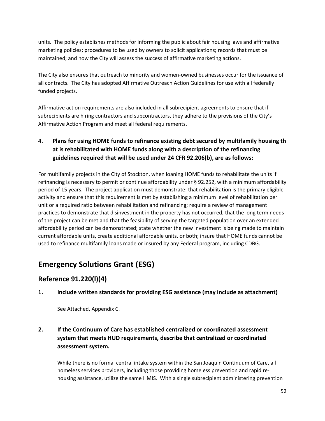units. The policy establishes methods for informing the public about fair housing laws and affirmative marketing policies; procedures to be used by owners to solicit applications; records that must be maintained; and how the City will assess the success of affirmative marketing actions.

The City also ensures that outreach to minority and women‐owned businesses occur for the issuance of all contracts. The City has adopted Affirmative Outreach Action Guidelines for use with all federally funded projects.

Affirmative action requirements are also included in all subrecipient agreements to ensure that if subrecipients are hiring contractors and subcontractors, they adhere to the provisions of the City's Affirmative Action Program and meet all federal requirements.

4. **Plans for using HOME funds to refinance existing debt secured by multifamily housing th at is rehabilitated with HOME funds along with a description of the refinancing guidelines required that will be used under 24 CFR 92.206(b), are as follows:**

For multifamily projects in the City of Stockton, when loaning HOME funds to rehabilitate the units if refinancing is necessary to permit or continue affordability under § 92.252, with a minimum affordability period of 15 years. The project application must demonstrate: that rehabilitation is the primary eligible activity and ensure that this requirement is met by establishing a minimum level of rehabilitation per unit or a required ratio between rehabilitation and refinancing; require a review of management practices to demonstrate that disinvestment in the property has not occurred, that the long term needs of the project can be met and that the feasibility of serving the targeted population over an extended affordability period can be demonstrated; state whether the new investment is being made to maintain current affordable units, create additional affordable units, or both; insure that HOME funds cannot be used to refinance multifamily loans made or insured by any Federal program, including CDBG.

# **Emergency Solutions Grant (ESG)**

### **Reference 91.220(l)(4)**

### **1. Include written standards for providing ESG assistance (may include as attachment)**

See Attached, Appendix C.

### **2. If the Continuum of Care has established centralized or coordinated assessment system that meets HUD requirements, describe that centralized or coordinated assessment system.**

While there is no formal central intake system within the San Joaquin Continuum of Care, all homeless services providers, including those providing homeless prevention and rapid re‐ housing assistance, utilize the same HMIS. With a single subrecipient administering prevention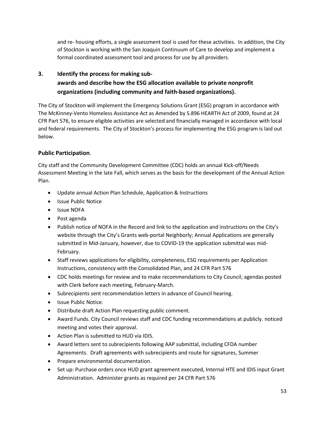and re‐ housing efforts, a single assessment tool is used for these activities. In addition, the City of Stockton is working with the San Joaquin Continuum of Care to develop and implement a formal coordinated assessment tool and process for use by all providers.

### **3. Identify the process for making sub‐ awards and describe how the ESG allocation available to private nonprofit organizations (including community and faith‐based organizations).**

The City of Stockton will implement the Emergency Solutions Grant (ESG) program in accordance with The McKinney‐Vento Homeless Assistance Act as Amended by S.896 HEARTH Act of 2009, found at 24 CFR Part 576, to ensure eligible activities are selected and financially managed in accordance with local and federal requirements. The City of Stockton's process for implementing the ESG program is laid out below.

### **Public Participation**.

City staff and the Community Development Committee (CDC) holds an annual Kick‐off/Needs Assessment Meeting in the late Fall, which serves as the basis for the development of the Annual Action Plan.

- Update annual Action Plan Schedule, Application & Instructions
- Issue Public Notice
- Issue NOFA
- Post agenda
- Publish notice of NOFA in the Record and link to the application and instructions on the City's website through the City's Grants web-portal Neighborly; Annual Applications are generally submitted in Mid‐January, however, due to COVID-19 the application submittal was mid-February.
- Staff reviews applications for eligibility, completeness, ESG requirements per Application Instructions, consistency with the Consolidated Plan, and 24 CFR Part 576
- CDC holds meetings for review and to make recommendations to City Council; agendas posted with Clerk before each meeting, February‐March.
- Subrecipients sent recommendation letters in advance of Council hearing.
- Issue Public Notice.
- Distribute draft Action Plan requesting public comment.
- Award Funds. City Council reviews staff and CDC funding recommendations at publicly. noticed meeting and votes their approval.
- Action Plan is submitted to HUD via IDIS.
- Award letters sent to subrecipients following AAP submittal, including CFDA number Agreements. Draft agreements with subrecipients and route for signatures, Summer
- Prepare environmental documentation.
- Set up: Purchase orders once HUD grant agreement executed, Internal HTE and IDIS input Grant Administration. Administer grants as required per 24 CFR Part 576